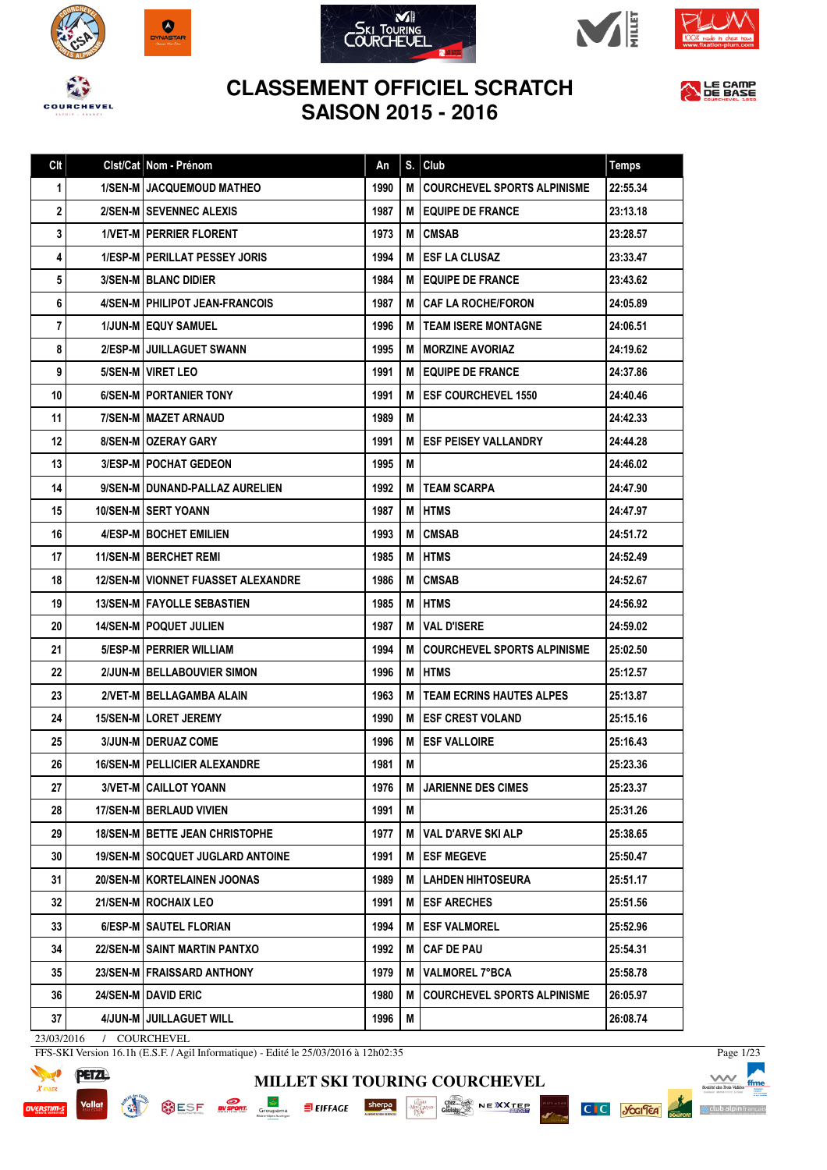













|  | An                                                                                                                                                                                                                                                                                                                                                                                                                                                                                                                                                                                                                                                                                                                                                                                                                                                                                                                                                                                                                                                                                                                                                                                              | S. | Club                               | <b>Temps</b>                                                                                                                                                                                                                                                           |
|--|-------------------------------------------------------------------------------------------------------------------------------------------------------------------------------------------------------------------------------------------------------------------------------------------------------------------------------------------------------------------------------------------------------------------------------------------------------------------------------------------------------------------------------------------------------------------------------------------------------------------------------------------------------------------------------------------------------------------------------------------------------------------------------------------------------------------------------------------------------------------------------------------------------------------------------------------------------------------------------------------------------------------------------------------------------------------------------------------------------------------------------------------------------------------------------------------------|----|------------------------------------|------------------------------------------------------------------------------------------------------------------------------------------------------------------------------------------------------------------------------------------------------------------------|
|  | 1990                                                                                                                                                                                                                                                                                                                                                                                                                                                                                                                                                                                                                                                                                                                                                                                                                                                                                                                                                                                                                                                                                                                                                                                            | м  | <b>COURCHEVEL SPORTS ALPINISME</b> | 22:55.34                                                                                                                                                                                                                                                               |
|  | 1987                                                                                                                                                                                                                                                                                                                                                                                                                                                                                                                                                                                                                                                                                                                                                                                                                                                                                                                                                                                                                                                                                                                                                                                            |    |                                    | 23:13.18                                                                                                                                                                                                                                                               |
|  | 1973                                                                                                                                                                                                                                                                                                                                                                                                                                                                                                                                                                                                                                                                                                                                                                                                                                                                                                                                                                                                                                                                                                                                                                                            | М  | <b>CMSAB</b>                       | 23:28.57                                                                                                                                                                                                                                                               |
|  | 1994                                                                                                                                                                                                                                                                                                                                                                                                                                                                                                                                                                                                                                                                                                                                                                                                                                                                                                                                                                                                                                                                                                                                                                                            | м  | <b>IESF LA CLUSAZ</b>              | 23:33.47                                                                                                                                                                                                                                                               |
|  | 1984                                                                                                                                                                                                                                                                                                                                                                                                                                                                                                                                                                                                                                                                                                                                                                                                                                                                                                                                                                                                                                                                                                                                                                                            |    |                                    | 23:43.62                                                                                                                                                                                                                                                               |
|  | 1987                                                                                                                                                                                                                                                                                                                                                                                                                                                                                                                                                                                                                                                                                                                                                                                                                                                                                                                                                                                                                                                                                                                                                                                            | М  | I CAF LA ROCHE/FORON               | 24:05.89                                                                                                                                                                                                                                                               |
|  | 1996                                                                                                                                                                                                                                                                                                                                                                                                                                                                                                                                                                                                                                                                                                                                                                                                                                                                                                                                                                                                                                                                                                                                                                                            | M  |                                    | 24:06.51                                                                                                                                                                                                                                                               |
|  | 1995                                                                                                                                                                                                                                                                                                                                                                                                                                                                                                                                                                                                                                                                                                                                                                                                                                                                                                                                                                                                                                                                                                                                                                                            | м  | i MORZINE AVORIAZ                  | 24:19.62                                                                                                                                                                                                                                                               |
|  | 1991                                                                                                                                                                                                                                                                                                                                                                                                                                                                                                                                                                                                                                                                                                                                                                                                                                                                                                                                                                                                                                                                                                                                                                                            | м  |                                    | 24:37.86                                                                                                                                                                                                                                                               |
|  | 1991                                                                                                                                                                                                                                                                                                                                                                                                                                                                                                                                                                                                                                                                                                                                                                                                                                                                                                                                                                                                                                                                                                                                                                                            | м  |                                    | 24:40.46                                                                                                                                                                                                                                                               |
|  | 1989                                                                                                                                                                                                                                                                                                                                                                                                                                                                                                                                                                                                                                                                                                                                                                                                                                                                                                                                                                                                                                                                                                                                                                                            | М  |                                    | 24:42.33                                                                                                                                                                                                                                                               |
|  | 1991                                                                                                                                                                                                                                                                                                                                                                                                                                                                                                                                                                                                                                                                                                                                                                                                                                                                                                                                                                                                                                                                                                                                                                                            | М  | <b>LESF PEISEY VALLANDRY</b>       | 24:44.28                                                                                                                                                                                                                                                               |
|  | 1995                                                                                                                                                                                                                                                                                                                                                                                                                                                                                                                                                                                                                                                                                                                                                                                                                                                                                                                                                                                                                                                                                                                                                                                            | М  |                                    | 24:46.02                                                                                                                                                                                                                                                               |
|  | 1992                                                                                                                                                                                                                                                                                                                                                                                                                                                                                                                                                                                                                                                                                                                                                                                                                                                                                                                                                                                                                                                                                                                                                                                            | м  | I TEAM SCARPA                      | 24:47.90                                                                                                                                                                                                                                                               |
|  | 1987                                                                                                                                                                                                                                                                                                                                                                                                                                                                                                                                                                                                                                                                                                                                                                                                                                                                                                                                                                                                                                                                                                                                                                                            | М  | IHTMS                              | 24:47.97                                                                                                                                                                                                                                                               |
|  | 1993                                                                                                                                                                                                                                                                                                                                                                                                                                                                                                                                                                                                                                                                                                                                                                                                                                                                                                                                                                                                                                                                                                                                                                                            | М  | <b>CMSAB</b>                       | 24:51.72                                                                                                                                                                                                                                                               |
|  | 1985                                                                                                                                                                                                                                                                                                                                                                                                                                                                                                                                                                                                                                                                                                                                                                                                                                                                                                                                                                                                                                                                                                                                                                                            | М  | <b>HTMS</b>                        | 24:52.49                                                                                                                                                                                                                                                               |
|  | 1986                                                                                                                                                                                                                                                                                                                                                                                                                                                                                                                                                                                                                                                                                                                                                                                                                                                                                                                                                                                                                                                                                                                                                                                            | М  | <b>CMSAB</b>                       | 24:52.67                                                                                                                                                                                                                                                               |
|  | 1985                                                                                                                                                                                                                                                                                                                                                                                                                                                                                                                                                                                                                                                                                                                                                                                                                                                                                                                                                                                                                                                                                                                                                                                            | М  |                                    | 24:56.92                                                                                                                                                                                                                                                               |
|  | 1987                                                                                                                                                                                                                                                                                                                                                                                                                                                                                                                                                                                                                                                                                                                                                                                                                                                                                                                                                                                                                                                                                                                                                                                            | м  | <b>VAL D'ISERE</b>                 | 24:59.02                                                                                                                                                                                                                                                               |
|  | 1994                                                                                                                                                                                                                                                                                                                                                                                                                                                                                                                                                                                                                                                                                                                                                                                                                                                                                                                                                                                                                                                                                                                                                                                            | м  | COURCHEVEL SPORTS ALPINISME        | 25:02.50                                                                                                                                                                                                                                                               |
|  | 1996                                                                                                                                                                                                                                                                                                                                                                                                                                                                                                                                                                                                                                                                                                                                                                                                                                                                                                                                                                                                                                                                                                                                                                                            | М  | IHTMS                              | 25:12.57                                                                                                                                                                                                                                                               |
|  | 1963                                                                                                                                                                                                                                                                                                                                                                                                                                                                                                                                                                                                                                                                                                                                                                                                                                                                                                                                                                                                                                                                                                                                                                                            | м  |                                    | 25:13.87                                                                                                                                                                                                                                                               |
|  | 1990                                                                                                                                                                                                                                                                                                                                                                                                                                                                                                                                                                                                                                                                                                                                                                                                                                                                                                                                                                                                                                                                                                                                                                                            | м  | <b>IESF CREST VOLAND</b>           | 25:15.16                                                                                                                                                                                                                                                               |
|  | 1996                                                                                                                                                                                                                                                                                                                                                                                                                                                                                                                                                                                                                                                                                                                                                                                                                                                                                                                                                                                                                                                                                                                                                                                            | м  | <b>ESF VALLOIRE</b>                | 25:16.43                                                                                                                                                                                                                                                               |
|  | 1981                                                                                                                                                                                                                                                                                                                                                                                                                                                                                                                                                                                                                                                                                                                                                                                                                                                                                                                                                                                                                                                                                                                                                                                            | M  |                                    | 25:23.36                                                                                                                                                                                                                                                               |
|  | 1976                                                                                                                                                                                                                                                                                                                                                                                                                                                                                                                                                                                                                                                                                                                                                                                                                                                                                                                                                                                                                                                                                                                                                                                            | M  | <b>JARIENNE DES CIMES</b>          | 25:23.37                                                                                                                                                                                                                                                               |
|  | 1991                                                                                                                                                                                                                                                                                                                                                                                                                                                                                                                                                                                                                                                                                                                                                                                                                                                                                                                                                                                                                                                                                                                                                                                            | М  |                                    | 25:31.26                                                                                                                                                                                                                                                               |
|  | 1977                                                                                                                                                                                                                                                                                                                                                                                                                                                                                                                                                                                                                                                                                                                                                                                                                                                                                                                                                                                                                                                                                                                                                                                            | M  |                                    | 25:38.65                                                                                                                                                                                                                                                               |
|  | 1991                                                                                                                                                                                                                                                                                                                                                                                                                                                                                                                                                                                                                                                                                                                                                                                                                                                                                                                                                                                                                                                                                                                                                                                            | м  | <b>ESF MEGEVE</b>                  | 25:50.47                                                                                                                                                                                                                                                               |
|  | 1989                                                                                                                                                                                                                                                                                                                                                                                                                                                                                                                                                                                                                                                                                                                                                                                                                                                                                                                                                                                                                                                                                                                                                                                            | м  | <b>LAHDEN HIHTOSEURA</b>           | 25:51.17                                                                                                                                                                                                                                                               |
|  | 1991                                                                                                                                                                                                                                                                                                                                                                                                                                                                                                                                                                                                                                                                                                                                                                                                                                                                                                                                                                                                                                                                                                                                                                                            | M  |                                    | 25:51.56                                                                                                                                                                                                                                                               |
|  | 1994                                                                                                                                                                                                                                                                                                                                                                                                                                                                                                                                                                                                                                                                                                                                                                                                                                                                                                                                                                                                                                                                                                                                                                                            | м  | <b>IESF VALMOREL</b>               | 25:52.96                                                                                                                                                                                                                                                               |
|  | 1992                                                                                                                                                                                                                                                                                                                                                                                                                                                                                                                                                                                                                                                                                                                                                                                                                                                                                                                                                                                                                                                                                                                                                                                            | M  |                                    | 25:54.31                                                                                                                                                                                                                                                               |
|  | 1979                                                                                                                                                                                                                                                                                                                                                                                                                                                                                                                                                                                                                                                                                                                                                                                                                                                                                                                                                                                                                                                                                                                                                                                            | м  | VALMOREL 7°BCA                     | 25:58.78                                                                                                                                                                                                                                                               |
|  | 1980                                                                                                                                                                                                                                                                                                                                                                                                                                                                                                                                                                                                                                                                                                                                                                                                                                                                                                                                                                                                                                                                                                                                                                                            | м  | <b>COURCHEVEL SPORTS ALPINISME</b> | 26:05.97                                                                                                                                                                                                                                                               |
|  | 1996                                                                                                                                                                                                                                                                                                                                                                                                                                                                                                                                                                                                                                                                                                                                                                                                                                                                                                                                                                                                                                                                                                                                                                                            | M  |                                    | 26:08.74                                                                                                                                                                                                                                                               |
|  | Clst/Cat Nom - Prénom<br>1/SEN-M JACQUEMOUD MATHEO<br>2/SEN-M SEVENNEC ALEXIS<br><b>1/VET-M   PERRIER FLORENT</b><br><b>1/ESP-M   PERILLAT PESSEY JORIS</b><br><b>3/SEN-M BLANC DIDIER</b><br>4/SEN-M   PHILIPOT JEAN-FRANCOIS<br><b>1/JUN-MIEQUY SAMUEL</b><br>2/ESP-M   JUILLAGUET SWANN<br>5/SEN-M   VIRET LEO<br>6/SEN-M   PORTANIER TONY<br>7/SEN-M   MAZET ARNAUD<br>8/SEN-M   OZERAY GARY<br><b>3/ESP-MIPOCHAT GEDEON</b><br>9/SEN-M DUNAND-PALLAZ AURELIEN<br>10/SEN-M SERT YOANN<br>4/ESP-M BOCHET EMILIEN<br><b>11/SEN-MIBERCHET REMI</b><br><b>12/SEN-M   VIONNET FUASSET ALEXANDRE</b><br>13/SEN-M FAYOLLE SEBASTIEN<br>14/SEN-M   POQUET JULIEN<br>5/ESP-M   PERRIER WILLIAM<br>2/JUN-M BELLABOUVIER SIMON<br>2/VET-M   BELLAGAMBA ALAIN<br>15/SEN-M   LORET JEREMY<br>3/JUN-M DERUAZ COME<br><b>16/SEN-M   PELLICIER ALEXANDRE</b><br>3/VET-M CAILLOT YOANN<br>17/SEN-M   BERLAUD VIVIEN<br><b>18/SEN-M BETTE JEAN CHRISTOPHE</b><br><b>19/SEN-M   SOCQUET JUGLARD ANTOINE</b><br>20/SEN-M KORTELAINEN JOONAS<br>21/SEN-M ROCHAIX LEO<br>6/ESP-M SAUTEL FLORIAN<br>22/SEN-M SAINT MARTIN PANTXO<br>23/SEN-M   FRAISSARD ANTHONY<br>24/SEN-M DAVID ERIC<br>4/JUN-M JUILLAGUET WILL |    |                                    | <b>M LEQUIPE DE FRANCE</b><br><b>M LEQUIPE DE FRANCE</b><br><b>ITEAM ISERE MONTAGNE</b><br><b>I EQUIPE DE FRANCE</b><br><b>ESF COURCHEVEL 1550</b><br><b>HTMS</b><br><b>TEAM ECRINS HAUTES ALPES</b><br> VAL D'ARVE SKI ALP<br><b>ESF ARECHES</b><br><b>CAF DE PAU</b> |

**MILLET SKI TOURING COURCHEVEL**

SESF When Groupans Elerrace sherped with the NEXTER

23/03/2016 / COURCHEVEL



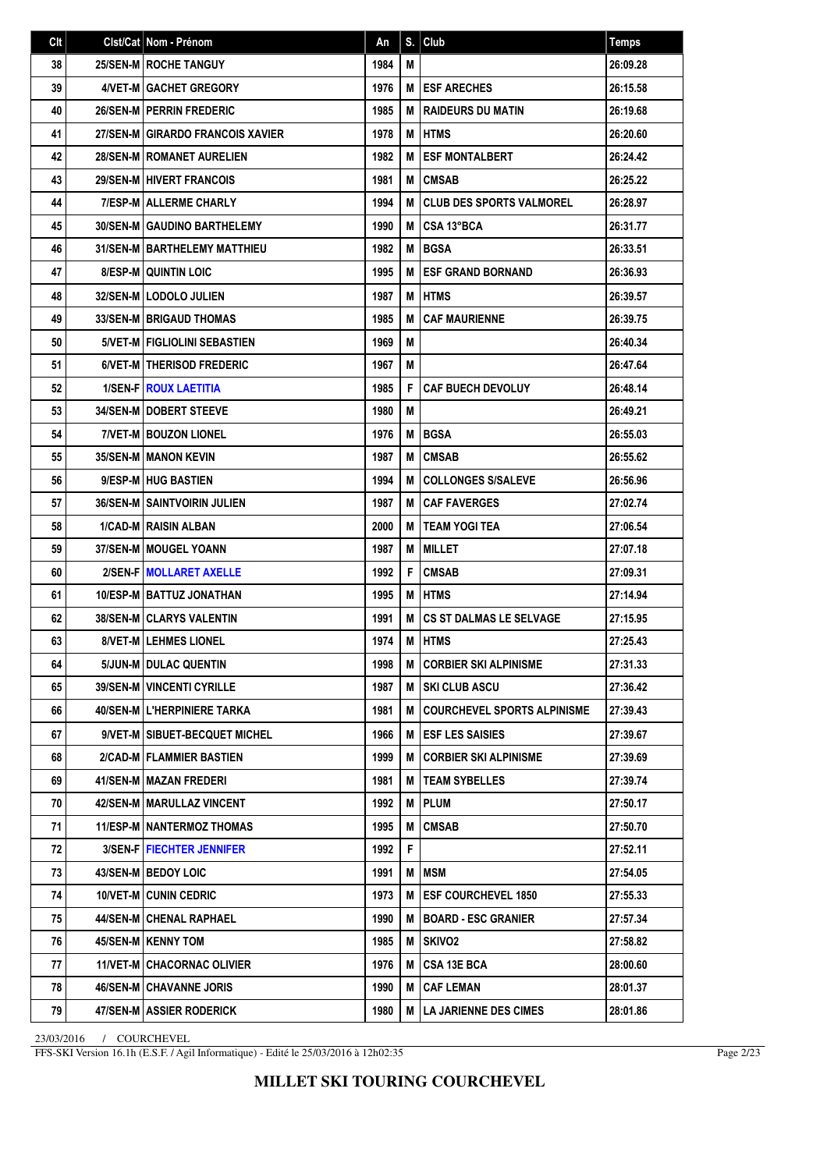| Clt | Cist/Cat   Nom - Prénom             | An   | S. | Club                               | <b>Temps</b> |
|-----|-------------------------------------|------|----|------------------------------------|--------------|
| 38  | 25/SEN-M   ROCHE TANGUY             | 1984 | М  |                                    | 26:09.28     |
| 39  | 4/VET-M GACHET GREGORY              | 1976 | м  | <b>ESF ARECHES</b>                 | 26:15.58     |
| 40  | <b>26/SEN-MIPERRIN FREDERIC</b>     | 1985 | М  | <b>RAIDEURS DU MATIN</b>           | 26:19.68     |
| 41  | 27/SEN-M GIRARDO FRANCOIS XAVIER    | 1978 | M  | <b>HTMS</b>                        | 26:20.60     |
| 42  | <b>28/SEN-M   ROMANET AURELIEN</b>  | 1982 | М  | <b>ESF MONTALBERT</b>              | 26:24.42     |
| 43  | <b>29/SEN-M HIVERT FRANCOIS</b>     | 1981 | М  | <b>CMSAB</b>                       | 26:25.22     |
| 44  | <b>7/ESP-M ALLERME CHARLY</b>       | 1994 | м  | <b>CLUB DES SPORTS VALMOREL</b>    | 26:28.97     |
| 45  | <b>30/SEN-M GAUDINO BARTHELEMY</b>  | 1990 | м  | CSA 13°BCA                         | 26:31.77     |
| 46  | <b>31/SEN-MIBARTHELEMY MATTHIEU</b> | 1982 | М  | <b>BGSA</b>                        | 26:33.51     |
| 47  | <b>8/ESP-M QUINTIN LOIC</b>         | 1995 | М  | <b>ESF GRAND BORNAND</b>           | 26:36.93     |
| 48  | 32/SEN-M   LODOLO JULIEN            | 1987 | M  | IHTMS                              | 26:39.57     |
| 49  | <b>33/SEN-M BRIGAUD THOMAS</b>      | 1985 | M  | <b>CAF MAURIENNE</b>               | 26:39.75     |
| 50  | 5/VET-M   FIGLIOLINI SEBASTIEN      | 1969 | M  |                                    | 26:40.34     |
| 51  | 6/VET-M   THERISOD FREDERIC         | 1967 | M  |                                    | 26:47.64     |
| 52  | <b>1/SEN-FIROUX LAETITIA</b>        | 1985 | F  | <b>CAF BUECH DEVOLUY</b>           | 26:48.14     |
| 53  | <b>34/SEN-MIDOBERT STEEVE</b>       | 1980 | M  |                                    | 26:49.21     |
| 54  | <b>7/VET-M BOUZON LIONEL</b>        | 1976 | M  | <b>BGSA</b>                        | 26:55.03     |
| 55  | <b>35/SEN-M   MANON KEVIN</b>       | 1987 | М  | <b>CMSAB</b>                       | 26:55.62     |
| 56  | 9/ESP-M HUG BASTIEN                 | 1994 | M  | <b>COLLONGES S/SALEVE</b>          | 26:56.96     |
| 57  | <b>36/SEN-M SAINTVOIRIN JULIEN</b>  | 1987 | М  | <b>CAF FAVERGES</b>                | 27:02.74     |
| 58  | 1/CAD-M RAISIN ALBAN                | 2000 | М  | <b>TEAM YOGI TEA</b>               | 27:06.54     |
| 59  | 37/SEN-M   MOUGEL YOANN             | 1987 | M  | <b>MILLET</b>                      | 27:07.18     |
| 60  | 2/SEN-F MOLLARET AXELLE             | 1992 | F  | <b>CMSAB</b>                       | 27:09.31     |
| 61  | <b>10/ESP-M BATTUZ JONATHAN</b>     | 1995 | M  | <b>HTMS</b>                        | 27:14.94     |
| 62  | <b>38/SEN-M CLARYS VALENTIN</b>     | 1991 | M  | <b>CS ST DALMAS LE SELVAGE</b>     | 27:15.95     |
| 63  | 8/VET-M LEHMES LIONEL               | 1974 | М  | <b>HTMS</b>                        | 27:25.43     |
| 64  | 5/JUN-M DULAC QUENTIN               | 1998 | м  | <b>CORBIER SKI ALPINISME</b>       | 27:31.33     |
| 65  | 39/SEN-M   VINCENTI CYRILLE         | 1987 | M  | <b>ISKI CLUB ASCU</b>              | 27:36.42     |
| 66  | 40/SEN-M L'HERPINIERE TARKA         | 1981 | М  | <b>COURCHEVEL SPORTS ALPINISME</b> | 27:39.43     |
| 67  | 9/VET-M   SIBUET-BECQUET MICHEL     | 1966 | м  | <b>ESF LES SAISIES</b>             | 27:39.67     |
| 68  | 2/CAD-M   FLAMMIER BASTIEN          | 1999 | м  | <b>CORBIER SKI ALPINISME</b>       | 27:39.69     |
| 69  | <b>41/SEN-M   MAZAN FREDERI</b>     | 1981 | M  | <b>TEAM SYBELLES</b>               | 27:39.74     |
| 70  | 42/SEN-M   MARULLAZ VINCENT         | 1992 | M  | <b>PLUM</b>                        | 27:50.17     |
| 71  | <b>11/ESP-M   NANTERMOZ THOMAS</b>  | 1995 | M  | <b>CMSAB</b>                       | 27:50.70     |
| 72  | <b>3/SEN-FIFIECHTER JENNIFER</b>    | 1992 | F  |                                    | 27:52.11     |
| 73  | 43/SEN-M BEDOY LOIC                 | 1991 | M  | <b>MSM</b>                         | 27:54.05     |
| 74  | <b>10/VET-M CUNIN CEDRIC</b>        | 1973 | м  | <b>ESF COURCHEVEL 1850</b>         | 27:55.33     |
| 75  | 44/SEN-M   CHENAL RAPHAEL           | 1990 | М  | <b>BOARD - ESC GRANIER</b>         | 27:57.34     |
| 76  | 45/SEN-M   KENNY TOM                | 1985 | M  | SKIVO2                             | 27:58.82     |
| 77  | <b>11/VET-M   CHACORNAC OLIVIER</b> | 1976 | м  | <b>CSA 13E BCA</b>                 | 28:00.60     |
| 78  | <b>46/SEN-M   CHAVANNE JORIS</b>    | 1990 | M  | <b>CAF LEMAN</b>                   | 28:01.37     |
| 79  | <b>47/SEN-M   ASSIER RODERICK</b>   | 1980 | М  | <b>LA JARIENNE DES CIMES</b>       | 28:01.86     |

FFS-SKI Version 16.1h (E.S.F. / Agil Informatique) - Edité le 25/03/2016 à 12h02:35

Page 2/23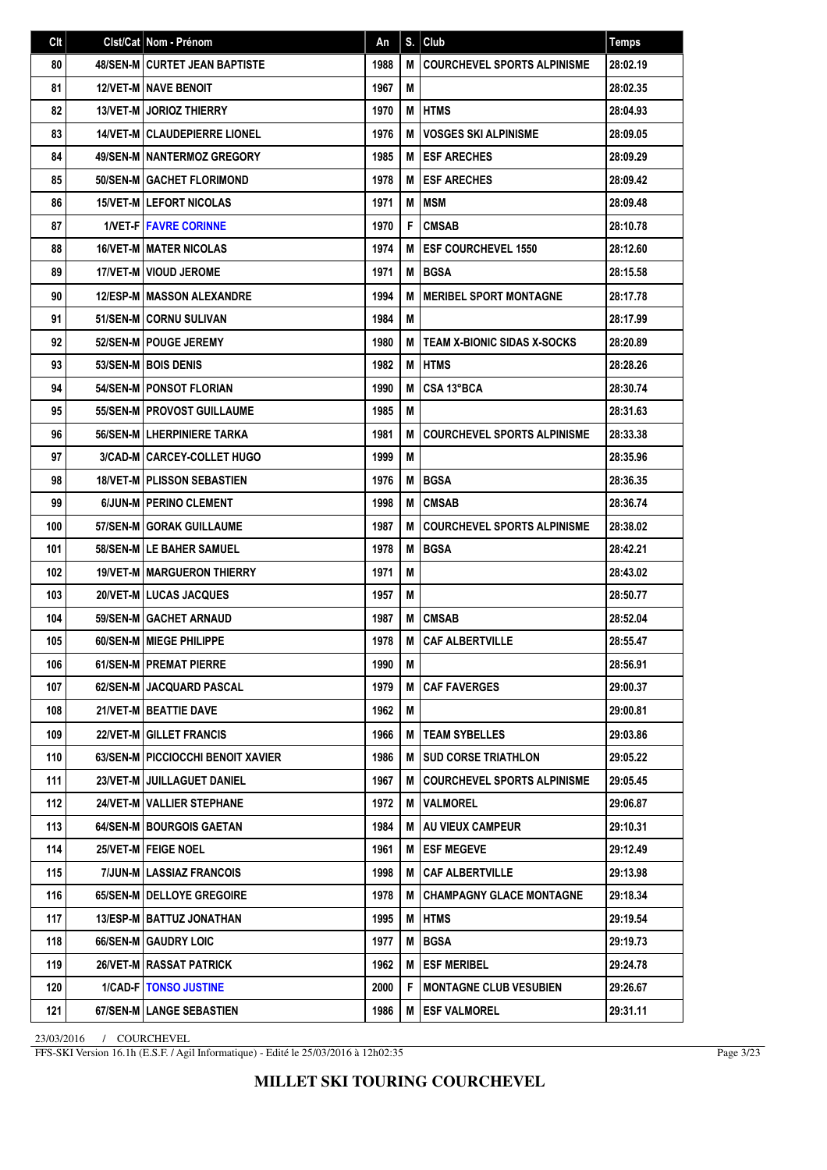| Clt | Clst/Cat   Nom - Prénom             | An   | S. | Club                               | <b>Temps</b> |
|-----|-------------------------------------|------|----|------------------------------------|--------------|
| 80  | 48/SEN-M CURTET JEAN BAPTISTE       | 1988 | M  | <b>COURCHEVEL SPORTS ALPINISME</b> | 28:02.19     |
| 81  | <b>12/VET-M NAVE BENOIT</b>         | 1967 | M  |                                    | 28:02.35     |
| 82  | <b>13/VET-M JORIOZ THIERRY</b>      | 1970 | M  | <b>HTMS</b>                        | 28:04.93     |
| 83  | <b>14/VET-M CLAUDEPIERRE LIONEL</b> | 1976 | M  | <b>VOSGES SKI ALPINISME</b>        | 28:09.05     |
| 84  | 49/SEN-M NANTERMOZ GREGORY          | 1985 | м  | <b>ESF ARECHES</b>                 | 28:09.29     |
| 85  | 50/SEN-M GACHET FLORIMOND           | 1978 | M  | <b>ESF ARECHES</b>                 | 28:09.42     |
| 86  | <b>15/VET-MILEFORT NICOLAS</b>      | 1971 | M  | <b>IMSM</b>                        | 28:09.48     |
| 87  | <b>1/VET-FIFAVRE CORINNE</b>        | 1970 | F  | <b>CMSAB</b>                       | 28:10.78     |
| 88  | <b>16/VET-M I MATER NICOLAS</b>     | 1974 | M  | <b>ESF COURCHEVEL 1550</b>         | 28:12.60     |
| 89  | 17/VET-M VIOUD JEROME               | 1971 | M  | <b>BGSA</b>                        | 28:15.58     |
| 90  | <b>12/ESP-M   MASSON ALEXANDRE</b>  | 1994 | M  | <b>IMERIBEL SPORT MONTAGNE</b>     | 28:17.78     |
| 91  | 51/SEN-M CORNU SULIVAN              | 1984 | М  |                                    | 28:17.99     |
| 92  | 52/SEN-M   POUGE JEREMY             | 1980 | м  | <b>TEAM X-BIONIC SIDAS X-SOCKS</b> | 28:20.89     |
| 93  | 53/SEN-M BOIS DENIS                 | 1982 | M  | <b>HTMS</b>                        | 28:28.26     |
| 94  | 54/SEN-M   PONSOT FLORIAN           | 1990 | M  | CSA 13°BCA                         | 28:30.74     |
| 95  | 55/SEN-M   PROVOST GUILLAUME        | 1985 | M  |                                    | 28:31.63     |
| 96  | <b>56/SEN-M LHERPINIERE TARKA</b>   | 1981 | M  | <b>COURCHEVEL SPORTS ALPINISME</b> | 28:33.38     |
| 97  | 3/CAD-M CARCEY-COLLET HUGO          | 1999 | М  |                                    | 28:35.96     |
| 98  | <b>18/VET-M   PLISSON SEBASTIEN</b> | 1976 | M  | <b>BGSA</b>                        | 28:36.35     |
| 99  | 6/JUN-M   PERINO CLEMENT            | 1998 | M  | <b>CMSAB</b>                       | 28:36.74     |
| 100 | <b>57/SEN-M GORAK GUILLAUME</b>     | 1987 | M  | <b>COURCHEVEL SPORTS ALPINISME</b> | 28:38.02     |
| 101 | 58/SEN-M LE BAHER SAMUEL            | 1978 | M  | <b>BGSA</b>                        | 28:42.21     |
| 102 | <b>19/VET-M MARGUERON THIERRY</b>   | 1971 | M  |                                    | 28:43.02     |
| 103 | 20/VET-M LUCAS JACQUES              | 1957 | M  |                                    | 28:50.77     |
| 104 | 59/SEN-M GACHET ARNAUD              | 1987 | M  | <b>CMSAB</b>                       | 28:52.04     |
| 105 | 60/SEN-M   MIEGE PHILIPPE           | 1978 | M  | <b>CAF ALBERTVILLE</b>             | 28:55.47     |
| 106 | 61/SEN-M PREMAT PIERRE              | 1990 | М  |                                    | 28:56.91     |
| 107 | 62/SEN-M   JACQUARD PASCAL          | 1979 | M  | <b>CAF FAVERGES</b>                | 29:00.37     |
| 108 | 21/VET-M   BEATTIE DAVE             | 1962 | M  |                                    | 29:00.81     |
| 109 | <b>22/VET-M GILLET FRANCIS</b>      | 1966 | м  | <b>TEAM SYBELLES</b>               | 29:03.86     |
| 110 | 63/SEN-M   PICCIOCCHI BENOIT XAVIER | 1986 | M  | <b>SUD CORSE TRIATHLON</b>         | 29:05.22     |
| 111 | 23/VET-M I JUILLAGUET DANIEL        | 1967 | M  | <b>COURCHEVEL SPORTS ALPINISME</b> | 29:05.45     |
| 112 | 24/VET-M   VALLIER STEPHANE         | 1972 | м  | <b>VALMOREL</b>                    | 29:06.87     |
| 113 | <b>64/SEN-M BOURGOIS GAETAN</b>     | 1984 | м  | <b>AU VIEUX CAMPEUR</b>            | 29:10.31     |
| 114 | 25/VET-M FEIGE NOEL                 | 1961 | M  | <b>ESF MEGEVE</b>                  | 29:12.49     |
| 115 | 7/JUN-M LASSIAZ FRANCOIS            | 1998 | M  | <b>CAF ALBERTVILLE</b>             | 29:13.98     |
| 116 | 65/SEN-M   DELLOYE GREGOIRE         | 1978 | м  | <b>CHAMPAGNY GLACE MONTAGNE</b>    | 29:18.34     |
| 117 | <b>13/ESP-M   BATTUZ JONATHAN</b>   | 1995 | M  | <b>IHTMS</b>                       | 29:19.54     |
| 118 | 66/SEN-M GAUDRY LOIC                | 1977 | M  | <b>BGSA</b>                        | 29:19.73     |
| 119 | 26/VET-M RASSAT PATRICK             | 1962 | м  | <b>ESF MERIBEL</b>                 | 29:24.78     |
| 120 | <b>1/CAD-FITONSO JUSTINE</b>        | 2000 | F  | <b>MONTAGNE CLUB VESUBIEN</b>      | 29:26.67     |
| 121 | 67/SEN-M   LANGE SEBASTIEN          | 1986 | м  | <b>ESF VALMOREL</b>                | 29:31.11     |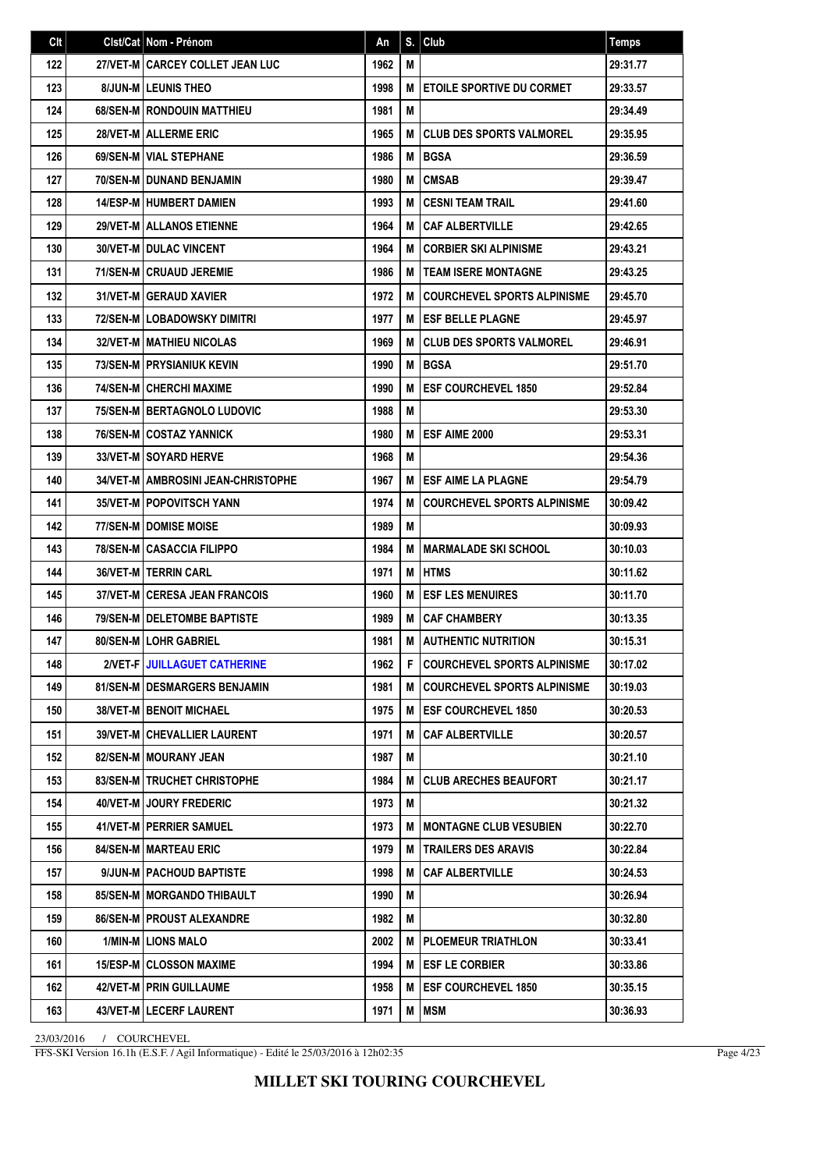| Clt | Clst/Cat   Nom - Prénom               | An   | S. | Club                               | <b>Temps</b> |
|-----|---------------------------------------|------|----|------------------------------------|--------------|
| 122 | 27/VET-M I CARCEY COLLET JEAN LUC     | 1962 | М  |                                    | 29:31.77     |
| 123 | <b>8/JUN-MILEUNIS THEO</b>            | 1998 | M  | <b>ETOILE SPORTIVE DU CORMET</b>   | 29:33.57     |
| 124 | <b>68/SEN-MIRONDOUIN MATTHIEU</b>     | 1981 | M  |                                    | 29:34.49     |
| 125 | 28/VET-M ALLERME ERIC                 | 1965 | M  | <b>CLUB DES SPORTS VALMOREL</b>    | 29:35.95     |
| 126 | 69/SEN-M   VIAL STEPHANE              | 1986 | M  | <b>BGSA</b>                        | 29:36.59     |
| 127 | 70/SEN-M I DUNAND BENJAMIN            | 1980 | M  | <b>CMSAB</b>                       | 29:39.47     |
| 128 | <b>14/ESP-M HUMBERT DAMIEN</b>        | 1993 | M  | <b>CESNI TEAM TRAIL</b>            | 29:41.60     |
| 129 | <b>29/VET-M ALLANOS ETIENNE</b>       | 1964 | M  | <b>CAF ALBERTVILLE</b>             | 29:42.65     |
| 130 | <b>30/VET-M I DULAC VINCENT</b>       | 1964 | M  | <b>CORBIER SKI ALPINISME</b>       | 29:43.21     |
| 131 | 71/SEN-M CRUAUD JEREMIE               | 1986 | M  | <b>TEAM ISERE MONTAGNE</b>         | 29:43.25     |
| 132 | 31/VET-M GERAUD XAVIER                | 1972 | M  | <b>COURCHEVEL SPORTS ALPINISME</b> | 29:45.70     |
| 133 | <b>72/SEN-M LOBADOWSKY DIMITRI</b>    | 1977 | М  | <b>ESF BELLE PLAGNE</b>            | 29:45.97     |
| 134 | <b>32/VET-M   MATHIEU NICOLAS</b>     | 1969 | M  | <b>CLUB DES SPORTS VALMOREL</b>    | 29:46.91     |
| 135 | <b>73/SEN-M PRYSIANIUK KEVIN</b>      | 1990 | M  | <b>BGSA</b>                        | 29:51.70     |
| 136 | 74/SEN-M CHERCHI MAXIME               | 1990 | M  | <b>ESF COURCHEVEL 1850</b>         | 29:52.84     |
| 137 | 75/SEN-MIBERTAGNOLO LUDOVIC           | 1988 | M  |                                    | 29:53.30     |
| 138 | 76/SEN-MICOSTAZ YANNICK               | 1980 | M  | ESF AIME 2000                      | 29:53.31     |
| 139 | 33/VET-M SOYARD HERVE                 | 1968 | М  |                                    | 29:54.36     |
| 140 | 34/VET-M AMBROSINI JEAN-CHRISTOPHE    | 1967 | M  | <b>ESF AIME LA PLAGNE</b>          | 29:54.79     |
| 141 | <b>35/VET-M   POPOVITSCH YANN</b>     | 1974 | M  | <b>COURCHEVEL SPORTS ALPINISME</b> | 30:09.42     |
| 142 | <b>77/SEN-M I DOMISE MOISE</b>        | 1989 | М  |                                    | 30:09.93     |
| 143 | <b>78/SEN-MICASACCIA FILIPPO</b>      | 1984 | M  | <b>MARMALADE SKI SCHOOL</b>        | 30:10.03     |
| 144 | <b>36/VET-M   TERRIN CARL</b>         | 1971 | M  | <b>HTMS</b>                        | 30:11.62     |
| 145 | 37/VET-M CERESA JEAN FRANCOIS         | 1960 | M  | <b>ESF LES MENUIRES</b>            | 30:11.70     |
| 146 | <b>79/SEN-M   DELETOMBE BAPTISTE</b>  | 1989 | M  | <b>CAF CHAMBERY</b>                | 30:13.35     |
| 147 | 80/SEN-M LOHR GABRIEL                 | 1981 | M  | <b>AUTHENTIC NUTRITION</b>         | 30:15.31     |
| 148 | 2/VET-F JUILLAGUET CATHERINE          | 1962 | F  | <b>COURCHEVEL SPORTS ALPINISME</b> | 30:17.02     |
| 149 | <b>81/SEN-M   DESMARGERS BENJAMIN</b> | 1981 | M  | <b>COURCHEVEL SPORTS ALPINISME</b> | 30:19.03     |
| 150 | <b>38/VET-M BENOIT MICHAEL</b>        | 1975 | М  | <b>ESF COURCHEVEL 1850</b>         | 30:20.53     |
| 151 | <b>39/VET-M CHEVALLIER LAURENT</b>    | 1971 | M  | <b>CAF ALBERTVILLE</b>             | 30:20.57     |
| 152 | 82/SEN-M   MOURANY JEAN               | 1987 | M  |                                    | 30:21.10     |
| 153 | 83/SEN-MITRUCHET CHRISTOPHE           | 1984 | M  | <b>CLUB ARECHES BEAUFORT</b>       | 30:21.17     |
| 154 | 40/VET-M JOURY FREDERIC               | 1973 | M  |                                    | 30:21.32     |
| 155 | 41/VET-M   PERRIER SAMUEL             | 1973 | М  | <b>MONTAGNE CLUB VESUBIEN</b>      | 30:22.70     |
| 156 | 84/SEN-M   MARTEAU ERIC               | 1979 | M  | <b>TRAILERS DES ARAVIS</b>         | 30:22.84     |
| 157 | 9/JUN-M   PACHOUD BAPTISTE            | 1998 | M  | <b>CAF ALBERTVILLE</b>             | 30:24.53     |
| 158 | <b>85/SEN-M   MORGANDO THIBAULT</b>   | 1990 | M  |                                    | 30:26.94     |
| 159 | 86/SEN-M   PROUST ALEXANDRE           | 1982 | M  |                                    | 30:32.80     |
| 160 | 1/MIN-M LIONS MALO                    | 2002 | M  | <b>PLOEMEUR TRIATHLON</b>          | 30:33.41     |
| 161 | <b>15/ESP-M CLOSSON MAXIME</b>        | 1994 | M  | <b>ESF LE CORBIER</b>              | 30:33.86     |
| 162 | 42/VET-M   PRIN GUILLAUME             | 1958 | M  | <b>ESF COURCHEVEL 1850</b>         | 30:35.15     |
| 163 | 43/VET-M LECERF LAURENT               | 1971 | M  | <b>MSM</b>                         | 30:36.93     |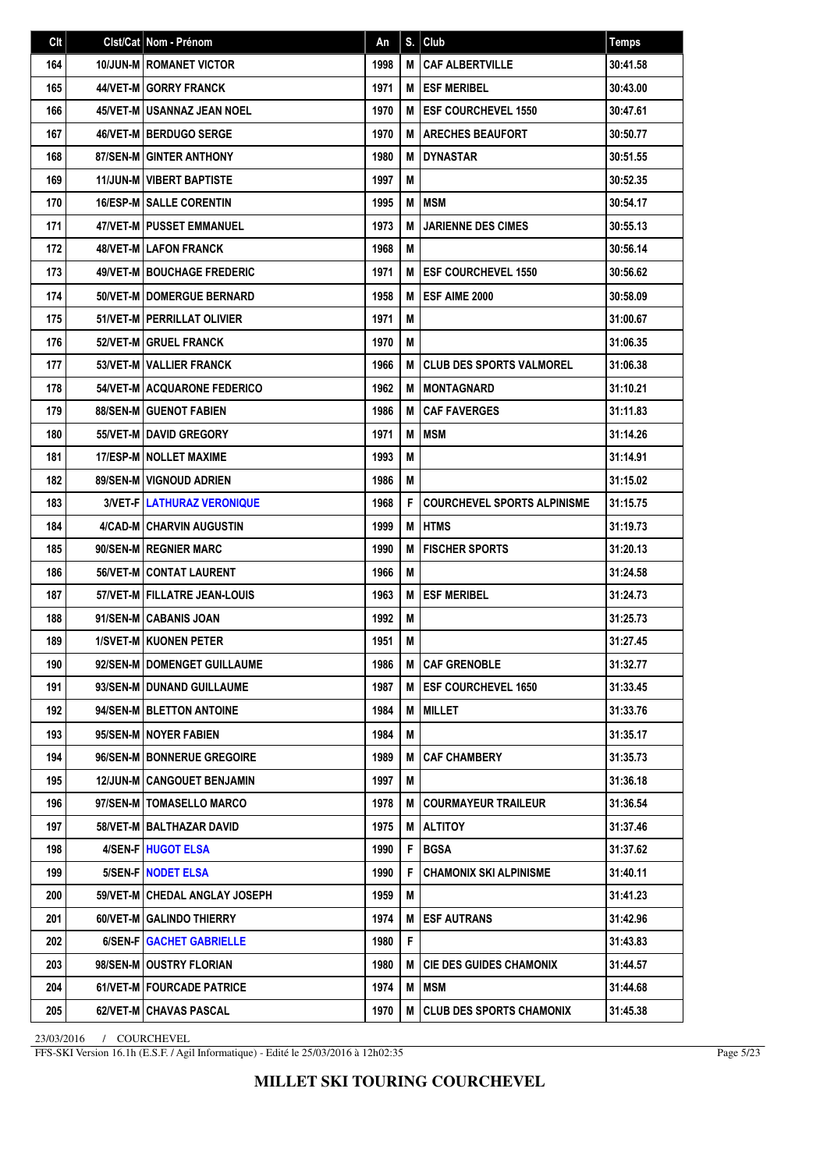| Clt | Clst/Cat Nom - Prénom             | An   | S. | Club                               | <b>Temps</b> |
|-----|-----------------------------------|------|----|------------------------------------|--------------|
| 164 | <b>10/JUN-M   ROMANET VICTOR</b>  | 1998 | M  | <b>CAF ALBERTVILLE</b>             | 30:41.58     |
| 165 | 44/VET-M GORRY FRANCK             | 1971 | м  | <b>ESF MERIBEL</b>                 | 30:43.00     |
| 166 | 45/VET-M I USANNAZ JEAN NOEL      | 1970 | M  | <b>ESF COURCHEVEL 1550</b>         | 30:47.61     |
| 167 | 46/VET-M BERDUGO SERGE            | 1970 | M  | <b>ARECHES BEAUFORT</b>            | 30:50.77     |
| 168 | 87/SEN-M GINTER ANTHONY           | 1980 | M  | <b>DYNASTAR</b>                    | 30:51.55     |
| 169 | <b>11/JUN-M VIBERT BAPTISTE</b>   | 1997 | M  |                                    | 30:52.35     |
| 170 | <b>16/ESP-M   SALLE CORENTIN</b>  | 1995 | M  | MSM                                | 30:54.17     |
| 171 | <b>47/VET-M   PUSSET EMMANUEL</b> | 1973 | M  | <b>JARIENNE DES CIMES</b>          | 30:55.13     |
| 172 | 48/VET-M LAFON FRANCK             | 1968 | M  |                                    | 30:56.14     |
| 173 | 49/VET-M BOUCHAGE FREDERIC        | 1971 | M  | <b>ESF COURCHEVEL 1550</b>         | 30:56.62     |
| 174 | 50/VET-M I DOMERGUE BERNARD       | 1958 | M  | <b>ESF AIME 2000</b>               | 30:58.09     |
| 175 | 51/VET-M   PERRILLAT OLIVIER      | 1971 | M  |                                    | 31:00.67     |
| 176 | 52/VET-M GRUEL FRANCK             | 1970 | M  |                                    | 31:06.35     |
| 177 | 53/VET-M   VALLIER FRANCK         | 1966 | M  | <b>CLUB DES SPORTS VALMOREL</b>    | 31:06.38     |
| 178 | 54/VET-M ACQUARONE FEDERICO       | 1962 | M  | <b>MONTAGNARD</b>                  | 31:10.21     |
| 179 | <b>88/SEN-MIGUENOT FABIEN</b>     | 1986 | M  | <b>CAF FAVERGES</b>                | 31:11.83     |
| 180 | 55/VET-M DAVID GREGORY            | 1971 | M  | <b>MSM</b>                         | 31:14.26     |
| 181 | 17/ESP-M NOLLET MAXIME            | 1993 | M  |                                    | 31:14.91     |
| 182 | 89/SEN-M VIGNOUD ADRIEN           | 1986 | М  |                                    | 31:15.02     |
| 183 | <b>3/VET-FILATHURAZ VERONIQUE</b> | 1968 | F  | <b>COURCHEVEL SPORTS ALPINISME</b> | 31:15.75     |
| 184 | 4/CAD-M CHARVIN AUGUSTIN          | 1999 | M  | <b>I</b> HTMS                      | 31:19.73     |
| 185 | 90/SEN-M REGNIER MARC             | 1990 | M  | <b>FISCHER SPORTS</b>              | 31:20.13     |
| 186 | 56/VET-M CONTAT LAURENT           | 1966 | M  |                                    | 31:24.58     |
| 187 | 57/VET-M   FILLATRE JEAN-LOUIS    | 1963 | M  | <b>ESF MERIBEL</b>                 | 31:24.73     |
| 188 | 91/SEN-M CABANIS JOAN             | 1992 | М  |                                    | 31:25.73     |
| 189 | 1/SVET-M KUONEN PETER             | 1951 | M  |                                    | 31:27.45     |
| 190 | 92/SEN-M   DOMENGET GUILLAUME     | 1986 | м  | <b>CAF GRENOBLE</b>                | 31:32.77     |
| 191 | 93/SEN-M   DUNAND GUILLAUME       | 1987 | M  | <b>IESF COURCHEVEL 1650</b>        | 31:33.45     |
| 192 | 94/SEN-M   BLETTON ANTOINE        | 1984 | M  | <b>MILLET</b>                      | 31:33.76     |
| 193 | 95/SEN-M NOYER FABIEN             | 1984 | M  |                                    | 31:35.17     |
| 194 | 96/SEN-M BONNERUE GREGOIRE        | 1989 | M  | <b>CAF CHAMBERY</b>                | 31:35.73     |
| 195 | 12/JUN-M CANGOUET BENJAMIN        | 1997 | M  |                                    | 31:36.18     |
| 196 | 97/SEN-M   TOMASELLO MARCO        | 1978 | M  | <b>COURMAYEUR TRAILEUR</b>         | 31:36.54     |
| 197 | 58/VET-M   BALTHAZAR DAVID        | 1975 | М  | <b>ALTITOY</b>                     | 31:37.46     |
| 198 | 4/SEN-F HUGOT ELSA                | 1990 | F  | <b>BGSA</b>                        | 31:37.62     |
| 199 | 5/SEN-F NODET ELSA                | 1990 | F  | <b>CHAMONIX SKI ALPINISME</b>      | 31:40.11     |
| 200 | 59/VET-M   CHEDAL ANGLAY JOSEPH   | 1959 | M  |                                    | 31:41.23     |
| 201 | 60/VET-M GALINDO THIERRY          | 1974 | M  | <b>ESF AUTRANS</b>                 | 31:42.96     |
| 202 | 6/SEN-F GACHET GABRIELLE          | 1980 | F  |                                    | 31:43.83     |
| 203 | 98/SEN-M OUSTRY FLORIAN           | 1980 | M  | <b>CIE DES GUIDES CHAMONIX</b>     | 31:44.57     |
| 204 | 61/VET-M   FOURCADE PATRICE       | 1974 | M  | MSM                                | 31:44.68     |
| 205 | 62/VET-M   CHAVAS PASCAL          | 1970 | M  | <b>CLUB DES SPORTS CHAMONIX</b>    | 31:45.38     |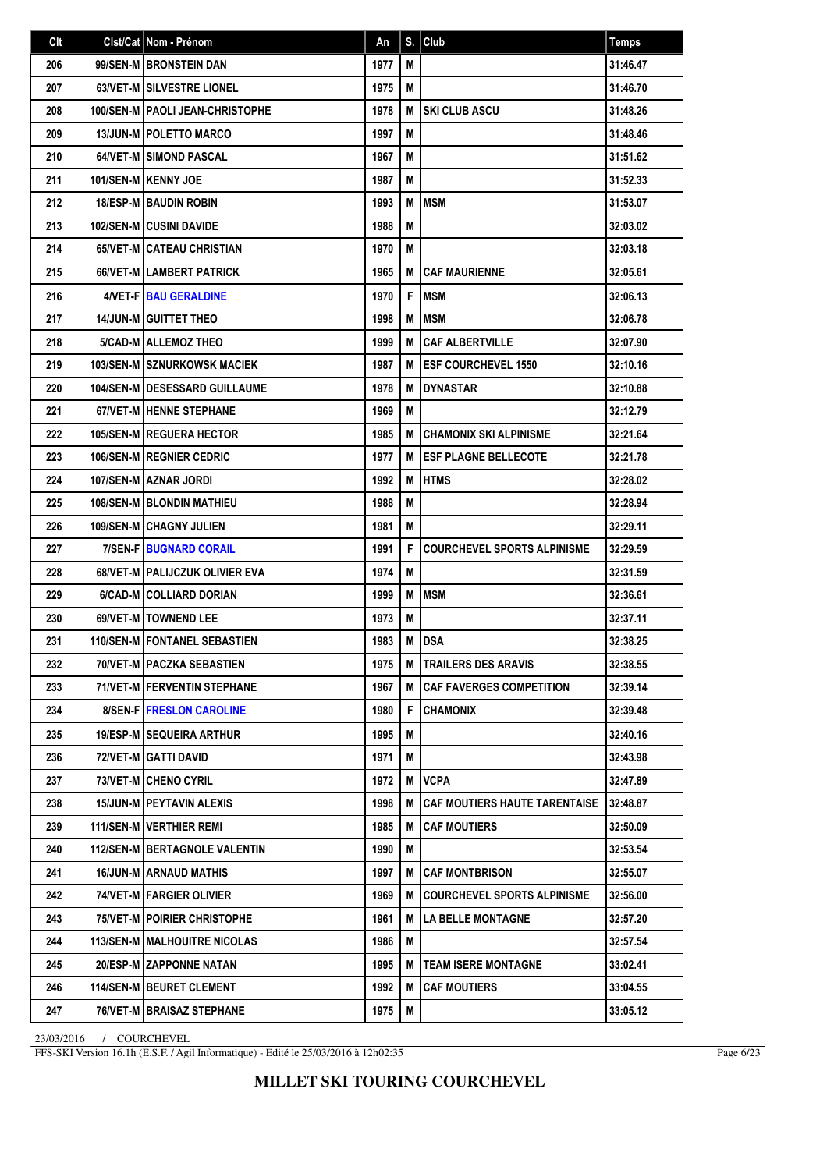| Clt | Clst/Cat   Nom - Prénom                  | An   | S. | Club                                 | <b>Temps</b> |
|-----|------------------------------------------|------|----|--------------------------------------|--------------|
| 206 | 99/SEN-M BRONSTEIN DAN                   | 1977 | М  |                                      | 31:46.47     |
| 207 | <b>63/VET-M SILVESTRE LIONEL</b>         | 1975 | M  |                                      | 31:46.70     |
| 208 | <b>100/SEN-M   PAOLI JEAN-CHRISTOPHE</b> | 1978 | M  | <b>SKI CLUB ASCU</b>                 | 31:48.26     |
| 209 | <b>13/JUN-M   POLETTO MARCO</b>          | 1997 | M  |                                      | 31:48.46     |
| 210 | <b>64/VET-M SIMOND PASCAL</b>            | 1967 | М  |                                      | 31:51.62     |
| 211 | 101/SEN-M KENNY JOE                      | 1987 | М  |                                      | 31:52.33     |
| 212 | <b>18/ESP-M BAUDIN ROBIN</b>             | 1993 | M  | <b>MSM</b>                           | 31:53.07     |
| 213 | <b>102/SEN-M CUSINI DAVIDE</b>           | 1988 | M  |                                      | 32:03.02     |
| 214 | 65/VET-M CATEAU CHRISTIAN                | 1970 | М  |                                      | 32:03.18     |
| 215 | 66/VET-M LAMBERT PATRICK                 | 1965 | M  | <b>CAF MAURIENNE</b>                 | 32:05.61     |
| 216 | 4/VET-FIBAU GERALDINE                    | 1970 | F  | <b>MSM</b>                           | 32:06.13     |
| 217 | <b>14/JUN-M GUITTET THEO</b>             | 1998 | M  | <b>MSM</b>                           | 32:06.78     |
| 218 | 5/CAD-M ALLEMOZ THEO                     | 1999 | M  | <b>CAF ALBERTVILLE</b>               | 32:07.90     |
| 219 | 103/SEN-M SZNURKOWSK MACIEK              | 1987 | M  | <b>ESF COURCHEVEL 1550</b>           | 32:10.16     |
| 220 | <b>104/SEN-M   DESESSARD GUILLAUME</b>   | 1978 | M  | <b>DYNASTAR</b>                      | 32:10.88     |
| 221 | <b>67/VET-M   HENNE STEPHANE</b>         | 1969 | M  |                                      | 32:12.79     |
| 222 | <b>105/SEN-M REGUERA HECTOR</b>          | 1985 | M  | <b>CHAMONIX SKI ALPINISME</b>        | 32:21.64     |
| 223 | 106/SEN-M REGNIER CEDRIC                 | 1977 | M  | <b>ESF PLAGNE BELLECOTE</b>          | 32:21.78     |
| 224 | 107/SEN-M AZNAR JORDI                    | 1992 | M  | <b>HTMS</b>                          | 32:28.02     |
| 225 | <b>108/SEN-MIBLONDIN MATHIEU</b>         | 1988 | M  |                                      | 32:28.94     |
| 226 | <b>109/SEN-M CHAGNY JULIEN</b>           | 1981 | М  |                                      | 32:29.11     |
| 227 | <b>7/SEN-F BUGNARD CORAIL</b>            | 1991 | F  | <b>COURCHEVEL SPORTS ALPINISME</b>   | 32:29.59     |
| 228 | 68/VET-M   PALIJCZUK OLIVIER EVA         | 1974 | М  |                                      | 32:31.59     |
| 229 | 6/CAD-M COLLIARD DORIAN                  | 1999 | M  | MSM                                  | 32:36.61     |
| 230 | 69/VET-M TOWNEND LEE                     | 1973 | М  |                                      | 32:37.11     |
| 231 | 110/SEN-M   FONTANEL SEBASTIEN           | 1983 | M  | DSA                                  | 32:38.25     |
| 232 | 70/VET-M   PACZKA SEBASTIEN              | 1975 | м  | <b>TRAILERS DES ARAVIS</b>           | 32:38.55     |
| 233 | 71/VET-M FERVENTIN STEPHANE              | 1967 | м  | <b>CAF FAVERGES COMPETITION</b>      | 32:39.14     |
| 234 | 8/SEN-F   FRESLON CAROLINE               | 1980 | F  | <b>CHAMONIX</b>                      | 32:39.48     |
| 235 | <b>19/ESP-M SEQUEIRA ARTHUR</b>          | 1995 | M  |                                      | 32:40.16     |
| 236 | 72/VET-M GATTI DAVID                     | 1971 | M  |                                      | 32:43.98     |
| 237 | 73/VET-M CHENO CYRIL                     | 1972 | M  | <b>VCPA</b>                          | 32:47.89     |
| 238 | <b>15/JUN-M   PEYTAVIN ALEXIS</b>        | 1998 | м  | <b>CAF MOUTIERS HAUTE TARENTAISE</b> | 32:48.87     |
| 239 | 111/SEN-M   VERTHIER REMI                | 1985 | M  | <b>CAF MOUTIERS</b>                  | 32:50.09     |
| 240 | 112/SEN-M   BERTAGNOLE VALENTIN          | 1990 | M  |                                      | 32:53.54     |
| 241 | <b>16/JUN-M ARNAUD MATHIS</b>            | 1997 | M  | <b>CAF MONTBRISON</b>                | 32:55.07     |
| 242 | 74/VET-M   FARGIER OLIVIER               | 1969 | м  | <b>COURCHEVEL SPORTS ALPINISME</b>   | 32:56.00     |
| 243 | 75/VET-M   POIRIER CHRISTOPHE            | 1961 | М  | <b>LA BELLE MONTAGNE</b>             | 32:57.20     |
| 244 | <b>113/SEN-M   MALHOUITRE NICOLAS</b>    | 1986 | M  |                                      | 32:57.54     |
| 245 | 20/ESP-M ZAPPONNE NATAN                  | 1995 | M  | <b>TEAM ISERE MONTAGNE</b>           | 33:02.41     |
| 246 | 114/SEN-M   BEURET CLEMENT               | 1992 | M  | <b>CAF MOUTIERS</b>                  | 33:04.55     |
| 247 | 76/VET-M   BRAISAZ STEPHANE              | 1975 | M  |                                      | 33:05.12     |

FFS-SKI Version 16.1h (E.S.F. / Agil Informatique) - Edité le 25/03/2016 à 12h02:35

Page 6/23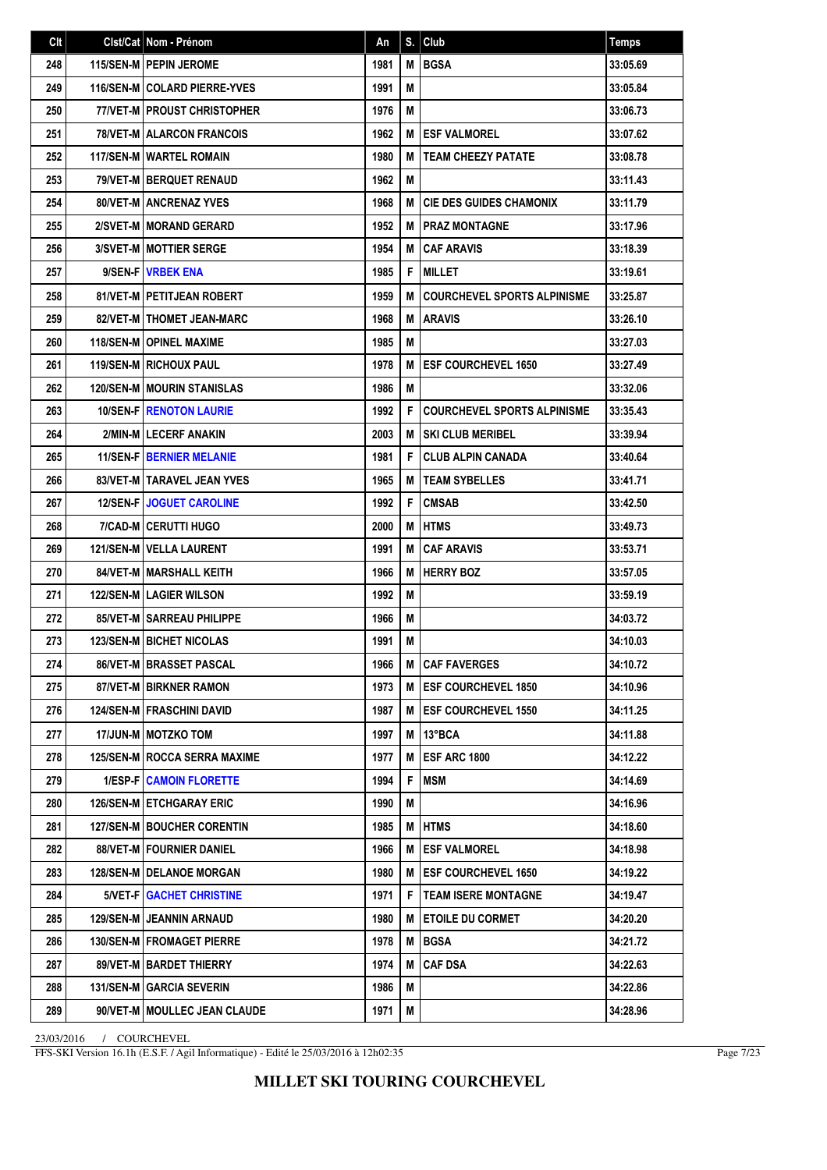| Clt | Clst/Cat Nom - Prénom                 | An   | S. | Club                               | <b>Temps</b> |
|-----|---------------------------------------|------|----|------------------------------------|--------------|
| 248 | 115/SEN-M   PEPIN JEROME              | 1981 | M  | <b>BGSA</b>                        | 33:05.69     |
| 249 | <b>116/SEN-MICOLARD PIERRE-YVES</b>   | 1991 | M  |                                    | 33:05.84     |
| 250 | 77/VET-M   PROUST CHRISTOPHER         | 1976 | M  |                                    | 33:06.73     |
| 251 | <b>78/VET-M   ALARCON FRANCOIS</b>    | 1962 | M  | <b>ESF VALMOREL</b>                | 33:07.62     |
| 252 | 117/SEN-M   WARTEL ROMAIN             | 1980 | M  | <b>TEAM CHEEZY PATATE</b>          | 33:08.78     |
| 253 | 79/VET-M BERQUET RENAUD               | 1962 | M  |                                    | 33:11.43     |
| 254 | <b>80/VET-M ANCRENAZ YVES</b>         | 1968 | M  | <b>CIE DES GUIDES CHAMONIX</b>     | 33:11.79     |
| 255 | 2/SVET-M   MORAND GERARD              | 1952 | M  | <b>PRAZ MONTAGNE</b>               | 33:17.96     |
| 256 | 3/SVET-M   MOTTIER SERGE              | 1954 | M  | <b>CAF ARAVIS</b>                  | 33:18.39     |
| 257 | 9/SEN-F   VRBEK ENA                   | 1985 | F  | <b>MILLET</b>                      | 33:19.61     |
| 258 | <b>81/VET-M   PETITJEAN ROBERT</b>    | 1959 | M  | <b>COURCHEVEL SPORTS ALPINISME</b> | 33:25.87     |
| 259 | 82/VET-M   THOMET JEAN-MARC           | 1968 | M  | <b>ARAVIS</b>                      | 33:26.10     |
| 260 | <b>118/SEN-M   OPINEL MAXIME</b>      | 1985 | М  |                                    | 33:27.03     |
| 261 | <b>119/SEN-M RICHOUX PAUL</b>         | 1978 | M  | <b>ESF COURCHEVEL 1650</b>         | 33:27.49     |
| 262 | <b>120/SEN-M MOURIN STANISLAS</b>     | 1986 | M  |                                    | 33:32.06     |
| 263 | <b>10/SEN-F   RENOTON LAURIE</b>      | 1992 | F  | <b>COURCHEVEL SPORTS ALPINISME</b> | 33:35.43     |
| 264 | 2/MIN-M LECERF ANAKIN                 | 2003 | M  | <b>SKI CLUB MERIBEL</b>            | 33:39.94     |
| 265 | <b>11/SEN-F   BERNIER MELANIE</b>     | 1981 | F  | <b>CLUB ALPIN CANADA</b>           | 33:40.64     |
| 266 | 83/VET-M   TARAVEL JEAN YVES          | 1965 | M  | <b>TEAM SYBELLES</b>               | 33:41.71     |
| 267 | <b>12/SEN-FIJOGUET CAROLINE</b>       | 1992 | F  | <b>CMSAB</b>                       | 33:42.50     |
| 268 | 7/CAD-M CERUTTI HUGO                  | 2000 | M  | <b>HTMS</b>                        | 33:49.73     |
| 269 | 121/SEN-M   VELLA LAURENT             | 1991 | M  | <b>CAF ARAVIS</b>                  | 33:53.71     |
| 270 | 84/VET-M MARSHALL KEITH               | 1966 | M  | <b>HERRY BOZ</b>                   | 33:57.05     |
| 271 | <b>122/SEN-M LAGIER WILSON</b>        | 1992 | M  |                                    | 33:59.19     |
| 272 | <b>85/VET-M   SARREAU PHILIPPE</b>    | 1966 | М  |                                    | 34:03.72     |
| 273 | <b>123/SEN-M   BICHET NICOLAS</b>     | 1991 | M  |                                    | 34:10.03     |
| 274 | <b>86/VET-M   BRASSET PASCAL</b>      | 1966 |    | <b>M   CAF FAVERGES</b>            | 34:10.72     |
| 275 | 87/VET-M BIRKNER RAMON                | 1973 |    | M <b>IESF COURCHEVEL 1850</b>      | 34:10.96     |
| 276 | <b>124/SEN-M FRASCHINI DAVID</b>      | 1987 | м  | <b>IESF COURCHEVEL 1550</b>        | 34:11.25     |
| 277 | 17/JUN-M   MOTZKO TOM                 | 1997 | M  | 13°BCA                             | 34:11.88     |
| 278 | <b>125/SEN-M   ROCCA SERRA MAXIME</b> | 1977 | M  | <b>ESF ARC 1800</b>                | 34:12.22     |
| 279 | <b>1/ESP-F CAMOIN FLORETTE</b>        | 1994 | F  | <b>MSM</b>                         | 34:14.69     |
| 280 | <b>126/SEN-M ETCHGARAY ERIC</b>       | 1990 | M  |                                    | 34:16.96     |
| 281 | <b>127/SEN-M BOUCHER CORENTIN</b>     | 1985 | M  | <b>HTMS</b>                        | 34:18.60     |
| 282 | 88/VET-M   FOURNIER DANIEL            | 1966 | M  | <b>ESF VALMOREL</b>                | 34:18.98     |
| 283 | 128/SEN-M   DELANOE MORGAN            | 1980 | M  | <b>ESF COURCHEVEL 1650</b>         | 34:19.22     |
| 284 | 5/VET-F   GACHET CHRISTINE            | 1971 | F  | <b>TEAM ISERE MONTAGNE</b>         | 34:19.47     |
| 285 | 129/SEN-M JEANNIN ARNAUD              | 1980 | M  | <b>ETOILE DU CORMET</b>            | 34:20.20     |
| 286 | 130/SEN-M   FROMAGET PIERRE           | 1978 | M  | BGSA                               | 34:21.72     |
| 287 | 89/VET-M   BARDET THIERRY             | 1974 | M  | <b>CAF DSA</b>                     | 34:22.63     |
| 288 | 131/SEN-M GARCIA SEVERIN              | 1986 | M  |                                    | 34:22.86     |
| 289 | 90/VET-M   MOULLEC JEAN CLAUDE        | 1971 | M  |                                    | 34:28.96     |

FFS-SKI Version 16.1h (E.S.F. / Agil Informatique) - Edité le 25/03/2016 à 12h02:35

Page 7/23

## **MILLET SKI TOURING COURCHEVEL**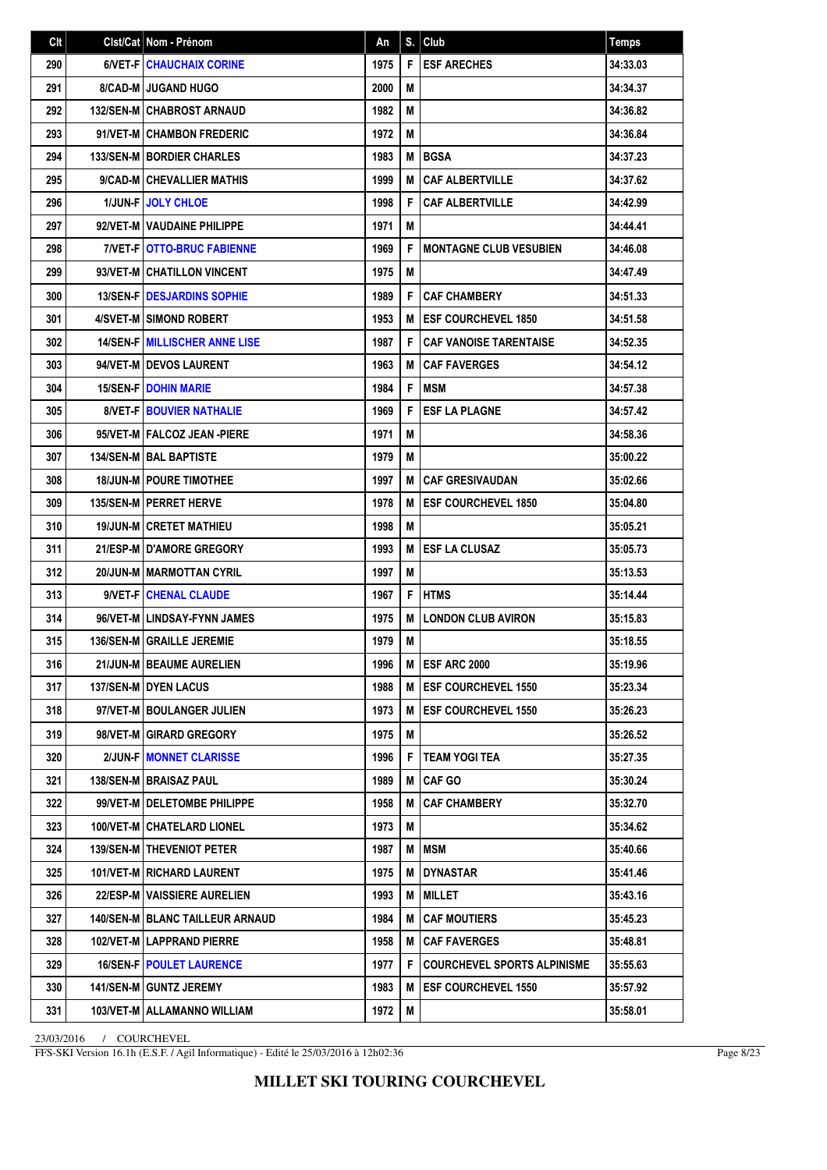| Clt | Clst/Cat Nom - Prénom                    | An   | S. | Club                               | <b>Temps</b> |
|-----|------------------------------------------|------|----|------------------------------------|--------------|
| 290 | <b>6/VET-FICHAUCHAIX CORINE</b>          | 1975 | F  | <b>ESF ARECHES</b>                 | 34:33.03     |
| 291 | <b>8/CAD-M I JUGAND HUGO</b>             | 2000 | M  |                                    | 34:34.37     |
| 292 | <b>132/SEN-MICHABROST ARNAUD</b>         | 1982 | M  |                                    | 34:36.82     |
| 293 | 91/VET-M CHAMBON FREDERIC                | 1972 | M  |                                    | 34:36.84     |
| 294 | <b>133/SEN-M   BORDIER CHARLES</b>       | 1983 | M  | <b>BGSA</b>                        | 34:37.23     |
| 295 | 9/CAD-M CHEVALLIER MATHIS                | 1999 | M  | <b>CAF ALBERTVILLE</b>             | 34:37.62     |
| 296 | <b>1/JUN-FIJOLY CHLOE</b>                | 1998 | F  | <b>CAF ALBERTVILLE</b>             | 34:42.99     |
| 297 | 92/VET-M   VAUDAINE PHILIPPE             | 1971 | M  |                                    | 34:44.41     |
| 298 | <b>7/VET-F OTTO-BRUC FABIENNE</b>        | 1969 | F  | <b>MONTAGNE CLUB VESUBIEN</b>      | 34:46.08     |
| 299 | 93/VET-M CHATILLON VINCENT               | 1975 | М  |                                    | 34:47.49     |
| 300 | <b>13/SEN-FIDESJARDINS SOPHIE</b>        | 1989 | F  | <b>CAF CHAMBERY</b>                | 34:51.33     |
| 301 | 4/SVET-M I SIMOND ROBERT                 | 1953 | M  | <b>ESF COURCHEVEL 1850</b>         | 34:51.58     |
| 302 | <b>14/SEN-F MILLISCHER ANNE LISE</b>     | 1987 | F  | <b>CAF VANOISE TARENTAISE</b>      | 34:52.35     |
| 303 | 94/VET-M I DEVOS LAURENT                 | 1963 | M  | <b>CAF FAVERGES</b>                | 34:54.12     |
| 304 | <b>15/SEN-FIDOHIN MARIE</b>              | 1984 | F  | <b>MSM</b>                         | 34:57.38     |
| 305 | <b>8/VET-F BOUVIER NATHALIE</b>          | 1969 | F  | <b>ESF LA PLAGNE</b>               | 34:57.42     |
| 306 | 95/VET-M FALCOZ JEAN -PIERE              | 1971 | M  |                                    | 34:58.36     |
| 307 | <b>134/SEN-M BAL BAPTISTE</b>            | 1979 | M  |                                    | 35:00.22     |
| 308 | <b>18/JUN-MI POURE TIMOTHEE</b>          | 1997 | M  | <b>CAF GRESIVAUDAN</b>             | 35:02.66     |
| 309 | <b>135/SEN-M   PERRET HERVE</b>          | 1978 | м  | <b>ESF COURCHEVEL 1850</b>         | 35:04.80     |
| 310 | <b>19/JUN-MICRETET MATHIEU</b>           | 1998 | M  |                                    | 35:05.21     |
| 311 | <b>21/ESP-M I D'AMORE GREGORY</b>        | 1993 | M  | <b>ESF LA CLUSAZ</b>               | 35:05.73     |
| 312 | 20/JUN-M MARMOTTAN CYRIL                 | 1997 | M  |                                    | 35:13.53     |
| 313 | 9/VET-F CHENAL CLAUDE                    | 1967 | F  | <b>HTMS</b>                        | 35:14.44     |
| 314 | 96/VET-M LINDSAY-FYNN JAMES              | 1975 | M  | <b>LONDON CLUB AVIRON</b>          | 35:15.83     |
| 315 | 136/SEN-M GRAILLE JEREMIE                | 1979 | M  |                                    | 35:18.55     |
| 316 | 21/JUN-M   BEAUME AURELIEN               | 1996 | M  | <b>IESF ARC 2000</b>               | 35:19.96     |
| 317 | 137/SEN-M DYEN LACUS                     | 1988 |    | M <b>IESF COURCHEVEL 1550</b>      | 35:23.34     |
| 318 | 97/VET-M   BOULANGER JULIEN              | 1973 | M  | <b>ESF COURCHEVEL 1550</b>         | 35:26.23     |
| 319 | 98/VET-M GIRARD GREGORY                  | 1975 | M  |                                    | 35:26.52     |
| 320 | 2/JUN-F MONNET CLARISSE                  | 1996 | F  | <b>TEAM YOGI TEA</b>               | 35:27.35     |
| 321 | 138/SEN-M   BRAISAZ PAUL                 | 1989 | M  | <b>CAF GO</b>                      | 35:30.24     |
| 322 | 99/VET-M   DELETOMBE PHILIPPE            | 1958 | M  | <b>CAF CHAMBERY</b>                | 35:32.70     |
| 323 | 100/VET-M   CHATELARD LIONEL             | 1973 | M  |                                    | 35:34.62     |
| 324 | 139/SEN-M   THEVENIOT PETER              | 1987 | M  | <b>MSM</b>                         | 35:40.66     |
| 325 | 101/VET-M RICHARD LAURENT                | 1975 | M  | <b>DYNASTAR</b>                    | 35:41.46     |
| 326 | 22/ESP-M   VAISSIERE AURELIEN            | 1993 | M  | <b>MILLET</b>                      | 35:43.16     |
| 327 | <b>140/SEN-M   BLANC TAILLEUR ARNAUD</b> | 1984 | M  | <b>CAF MOUTIERS</b>                | 35:45.23     |
| 328 | 102/VET-M LAPPRAND PIERRE                | 1958 | M  | <b>CAF FAVERGES</b>                | 35:48.81     |
| 329 | <b>16/SEN-F   POULET LAURENCE</b>        | 1977 | F  | <b>COURCHEVEL SPORTS ALPINISME</b> | 35:55.63     |
| 330 | 141/SEN-M GUNTZ JEREMY                   | 1983 | M  | <b>ESF COURCHEVEL 1550</b>         | 35:57.92     |
| 331 | 103/VET-M   ALLAMANNO WILLIAM            | 1972 | M  |                                    | 35:58.01     |

FFS-SKI Version 16.1h (E.S.F. / Agil Informatique) - Edité le 25/03/2016 à 12h02:36

Page 8/23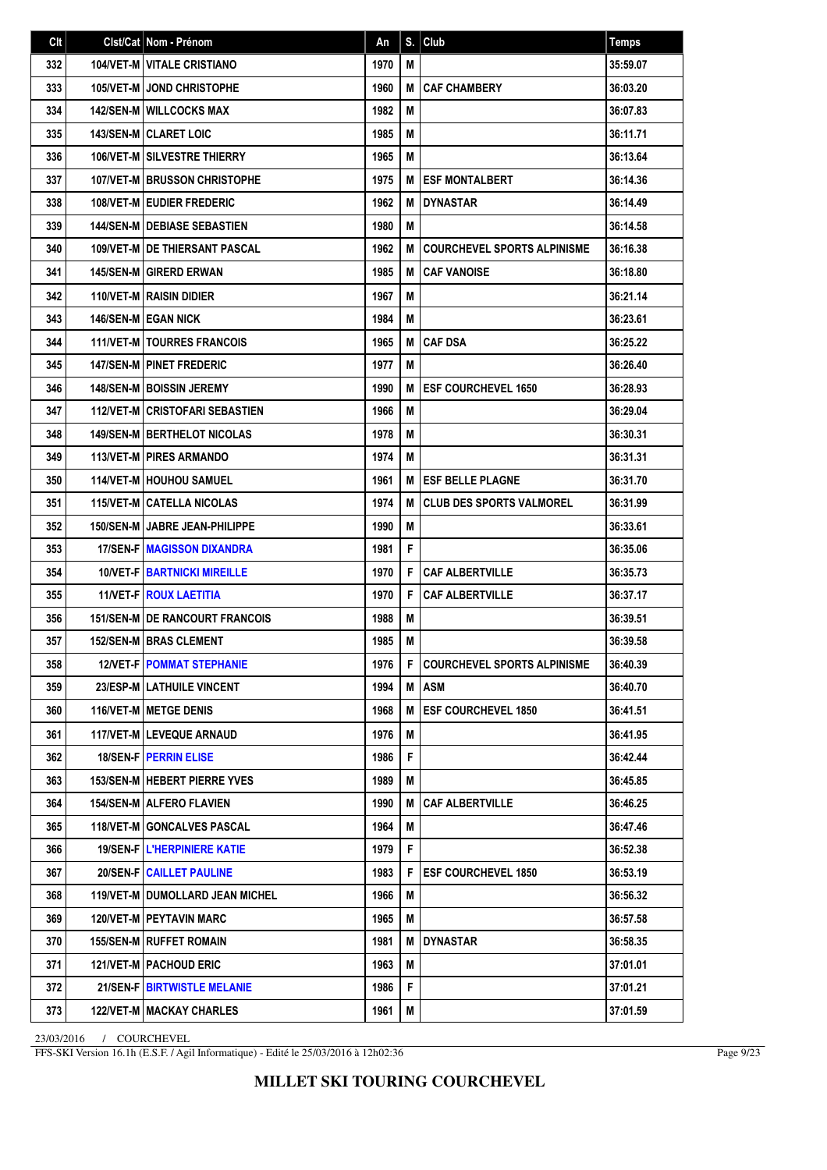| Clt | Clst/Cat Nom - Prénom                  | An   | S. | Club                               | <b>Temps</b> |
|-----|----------------------------------------|------|----|------------------------------------|--------------|
| 332 | 104/VET-M VITALE CRISTIANO             | 1970 | М  |                                    | 35:59.07     |
| 333 | <b>105/VET-M JOND CHRISTOPHE</b>       | 1960 | М  | <b>CAF CHAMBERY</b>                | 36:03.20     |
| 334 | <b>142/SEN-M WILLCOCKS MAX</b>         | 1982 | М  |                                    | 36:07.83     |
| 335 | <b>143/SEN-M CLARET LOIC</b>           | 1985 | М  |                                    | 36:11.71     |
| 336 | <b>106/VET-M SILVESTRE THIERRY</b>     | 1965 | M  |                                    | 36:13.64     |
| 337 | <b>107/VET-M BRUSSON CHRISTOPHE</b>    | 1975 | М  | <b>ESF MONTALBERT</b>              | 36:14.36     |
| 338 | <b>108/VET-M   EUDIER FREDERIC</b>     | 1962 | М  | <b>DYNASTAR</b>                    | 36:14.49     |
| 339 | <b>144/SEN-M   DEBIASE SEBASTIEN</b>   | 1980 | M  |                                    | 36:14.58     |
| 340 | <b>109/VET-M IDE THIERSANT PASCAL</b>  | 1962 | М  | <b>COURCHEVEL SPORTS ALPINISME</b> | 36:16.38     |
| 341 | <b>145/SEN-M GIRERD ERWAN</b>          | 1985 | М  | <b>CAF VANOISE</b>                 | 36:18.80     |
| 342 | 110/VET-M RAISIN DIDIER                | 1967 | М  |                                    | 36:21.14     |
| 343 | <b>146/SEN-M EGAN NICK</b>             | 1984 | M  |                                    | 36:23.61     |
| 344 | 111/VET-M   TOURRES FRANCOIS           | 1965 | М  | <b>CAF DSA</b>                     | 36:25.22     |
| 345 | <b>147/SEN-M PINET FREDERIC</b>        | 1977 | M  |                                    | 36:26.40     |
| 346 | <b>148/SEN-M   BOISSIN JEREMY</b>      | 1990 | М  | <b>ESF COURCHEVEL 1650</b>         | 36:28.93     |
| 347 | <b>112/VET-M CRISTOFARI SEBASTIEN</b>  | 1966 | М  |                                    | 36:29.04     |
| 348 | <b>149/SEN-MIBERTHELOT NICOLAS</b>     | 1978 | М  |                                    | 36:30.31     |
| 349 | <b>113/VET-M PIRES ARMANDO</b>         | 1974 | M  |                                    | 36:31.31     |
| 350 | <b>114/VET-M HOUHOU SAMUEL</b>         | 1961 | М  | <b>ESF BELLE PLAGNE</b>            | 36:31.70     |
| 351 | <b>115/VET-MICATELLA NICOLAS</b>       | 1974 | М  | <b>CLUB DES SPORTS VALMOREL</b>    | 36:31.99     |
| 352 | <b>150/SEN-M   JABRE JEAN-PHILIPPE</b> | 1990 | M  |                                    | 36:33.61     |
| 353 | <b>17/SEN-FIMAGISSON DIXANDRA</b>      | 1981 | F  |                                    | 36:35.06     |
| 354 | <b>10/VET-F BARTNICKI MIREILLE</b>     | 1970 | F  | <b>CAF ALBERTVILLE</b>             | 36:35.73     |
| 355 | 11/VET-F   ROUX LAETITIA               | 1970 | F  | <b>CAF ALBERTVILLE</b>             | 36:37.17     |
| 356 | <b>151/SEN-M DE RANCOURT FRANCOIS</b>  | 1988 | М  |                                    | 36:39.51     |
| 357 | <b>152/SEN-M   BRAS CLEMENT</b>        | 1985 | М  |                                    | 36:39.58     |
| 358 | <b>12/VET-FIPOMMAT STEPHANIE</b>       | 1976 | F. | <b>COURCHEVEL SPORTS ALPINISME</b> | 36:40.39     |
| 359 | 23/ESP-M   LATHUILE VINCENT            | 1994 | M  | <b>ASM</b>                         | 36:40.70     |
| 360 | <b>116/VET-M METGE DENIS</b>           | 1968 | М  | <b>ESF COURCHEVEL 1850</b>         | 36:41.51     |
| 361 | 117/VET-M LEVEQUE ARNAUD               | 1976 | M  |                                    | 36:41.95     |
| 362 | 18/SEN-F   PERRIN ELISE                | 1986 | F. |                                    | 36:42.44     |
| 363 | 153/SEN-M   HEBERT PIERRE YVES         | 1989 | M  |                                    | 36:45.85     |
| 364 | <b>154/SEN-M   ALFERO FLAVIEN</b>      | 1990 | М  | <b>CAF ALBERTVILLE</b>             | 36:46.25     |
| 365 | <b>118/VET-M GONCALVES PASCAL</b>      | 1964 | М  |                                    | 36:47.46     |
| 366 | 19/SEN-F   L'HERPINIERE KATIE          | 1979 | F. |                                    | 36:52.38     |
| 367 | 20/SEN-F   CAILLET PAULINE             | 1983 | F  | <b>ESF COURCHEVEL 1850</b>         | 36:53.19     |
| 368 | 119/VET-M   DUMOLLARD JEAN MICHEL      | 1966 | M  |                                    | 36:56.32     |
| 369 | 120/VET-M   PEYTAVIN MARC              | 1965 | M  |                                    | 36:57.58     |
| 370 | <b>155/SEN-M   RUFFET ROMAIN</b>       | 1981 | М  | DYNASTAR                           | 36:58.35     |
| 371 | 121/VET-M   PACHOUD ERIC               | 1963 | М  |                                    | 37:01.01     |
| 372 | 21/SEN-F   BIRTWISTLE MELANIE          | 1986 | F  |                                    | 37:01.21     |
| 373 | 122/VET-M   MACKAY CHARLES             | 1961 | M  |                                    | 37:01.59     |

FFS-SKI Version 16.1h (E.S.F. / Agil Informatique) - Edité le 25/03/2016 à 12h02:36

Page 9/23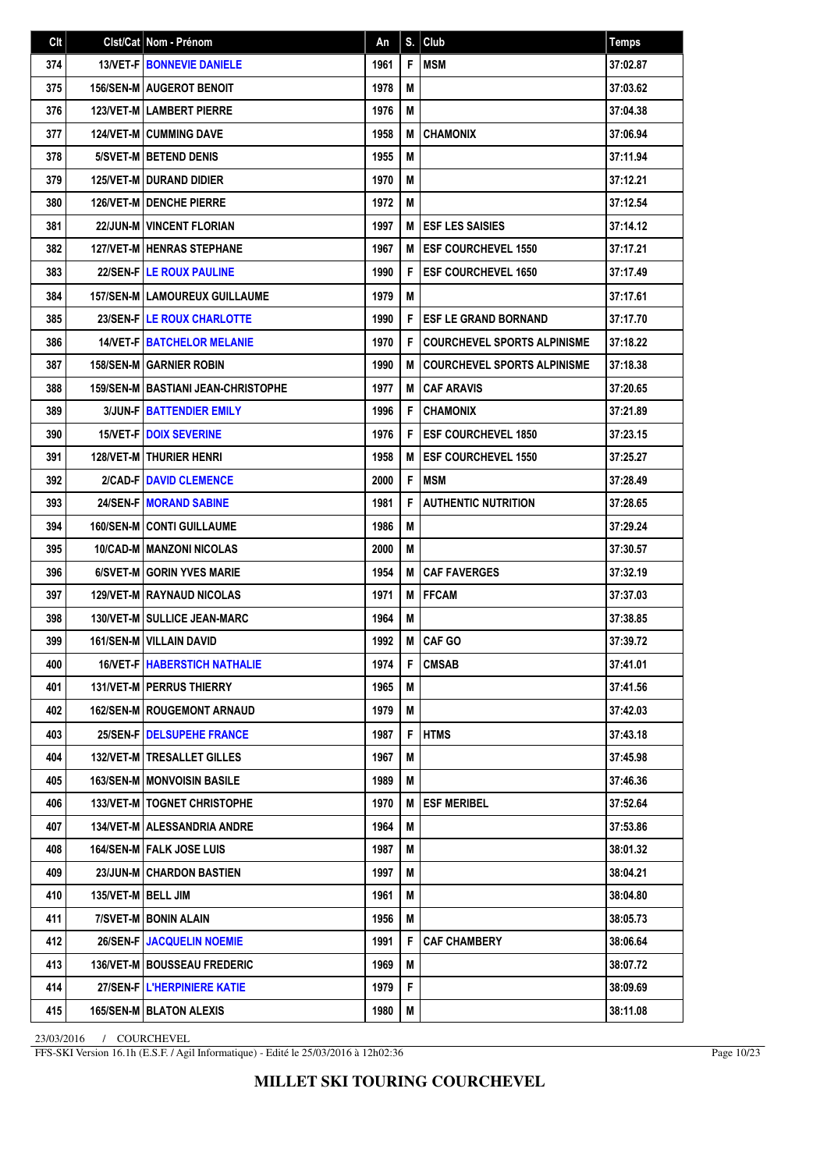| Clt |                      | Clst/Cat   Nom - Prénom                   | An   | S. | Club                               | <b>Temps</b> |
|-----|----------------------|-------------------------------------------|------|----|------------------------------------|--------------|
| 374 |                      | 13/VET-F   BONNEVIE DANIELE               | 1961 | F  | <b>MSM</b>                         | 37:02.87     |
| 375 |                      | <b>156/SEN-M AUGEROT BENOIT</b>           | 1978 | M  |                                    | 37:03.62     |
| 376 |                      | <b>123/VET-MILAMBERT PIERRE</b>           | 1976 | M  |                                    | 37:04.38     |
| 377 |                      | <b>124/VET-M CUMMING DAVE</b>             | 1958 | M  | <b>CHAMONIX</b>                    | 37:06.94     |
| 378 |                      | 5/SVET-M BETEND DENIS                     | 1955 | М  |                                    | 37:11.94     |
| 379 |                      | <b>125/VET-M I DURAND DIDIER</b>          | 1970 | М  |                                    | 37:12.21     |
| 380 |                      | <b>126/VET-MIDENCHE PIERRE</b>            | 1972 | М  |                                    | 37:12.54     |
| 381 |                      | <b>22/JUN-M   VINCENT FLORIAN</b>         | 1997 | M  | <b>ESF LES SAISIES</b>             | 37:14.12     |
| 382 |                      | <b>127/VET-M   HENRAS STEPHANE</b>        | 1967 | M  | <b>ESF COURCHEVEL 1550</b>         | 37:17.21     |
| 383 |                      | <b>22/SEN-FILE ROUX PAULINE</b>           | 1990 | F  | <b>ESF COURCHEVEL 1650</b>         | 37:17.49     |
| 384 |                      | 157/SEN-M   LAMOUREUX GUILLAUME           | 1979 | M  |                                    | 37:17.61     |
| 385 |                      | 23/SEN-F LE ROUX CHARLOTTE                | 1990 | F  | <b>ESF LE GRAND BORNAND</b>        | 37:17.70     |
| 386 |                      | 14/VET-F   BATCHELOR MELANIE              | 1970 | F  | <b>COURCHEVEL SPORTS ALPINISME</b> | 37:18.22     |
| 387 |                      | <b>158/SEN-M GARNIER ROBIN</b>            | 1990 | M  | <b>COURCHEVEL SPORTS ALPINISME</b> | 37:18.38     |
| 388 |                      | <b>159/SEN-M BASTIANI JEAN-CHRISTOPHE</b> | 1977 | M  | <b>CAF ARAVIS</b>                  | 37:20.65     |
| 389 |                      | <b>3/JUN-FIBATTENDIER EMILY</b>           | 1996 | F  | <b>CHAMONIX</b>                    | 37:21.89     |
| 390 |                      | <b>15/VET-F DOIX SEVERINE</b>             | 1976 | F  | <b>ESF COURCHEVEL 1850</b>         | 37:23.15     |
| 391 |                      | <b>128/VET-M   THURIER HENRI</b>          | 1958 | M  | <b>ESF COURCHEVEL 1550</b>         | 37:25.27     |
| 392 |                      | 2/CAD-FIDAVID CLEMENCE                    | 2000 | F  | <b>MSM</b>                         | 37:28.49     |
| 393 |                      | <b>24/SEN-FIMORAND SABINE</b>             | 1981 | F  | <b>AUTHENTIC NUTRITION</b>         | 37:28.65     |
| 394 |                      | <b>160/SEN-MICONTI GUILLAUME</b>          | 1986 | М  |                                    | 37:29.24     |
| 395 |                      | <b>10/CAD-M   MANZONI NICOLAS</b>         | 2000 | М  |                                    | 37:30.57     |
| 396 |                      | 6/SVET-M GORIN YVES MARIE                 | 1954 | M  | <b>CAF FAVERGES</b>                | 37:32.19     |
| 397 |                      | <b>129/VET-M RAYNAUD NICOLAS</b>          | 1971 | М  | <b>FFCAM</b>                       | 37:37.03     |
| 398 |                      | <b>130/VET-M I SULLICE JEAN-MARC</b>      | 1964 | M  |                                    | 37:38.85     |
| 399 |                      | 161/SEN-M   VILLAIN DAVID                 | 1992 | M  | <b>CAF GO</b>                      | 37:39.72     |
| 400 |                      | <b>16/VET-F   HABERSTICH NATHALIE</b>     | 1974 | F  | <b>CMSAB</b>                       | 37:41.01     |
| 401 |                      | <b>131/VET-M   PERRUS THIERRY</b>         | 1965 | М  |                                    | 37:41.56     |
| 402 |                      | <b>162/SEN-M   ROUGEMONT ARNAUD</b>       | 1979 | М  |                                    | 37:42.03     |
| 403 |                      | 25/SEN-FIDELSUPEHE FRANCE                 | 1987 | F  | <b>HTMS</b>                        | 37:43.18     |
| 404 |                      | 132/VET-M   TRESALLET GILLES              | 1967 | М  |                                    | 37:45.98     |
| 405 |                      | <b>163/SEN-M   MONVOISIN BASILE</b>       | 1989 | M  |                                    | 37:46.36     |
| 406 |                      | 133/VET-M   TOGNET CHRISTOPHE             | 1970 | M  | <b>ESF MERIBEL</b>                 | 37:52.64     |
| 407 |                      | <b>134/VET-M   ALESSANDRIA ANDRE</b>      | 1964 | М  |                                    | 37:53.86     |
| 408 |                      | 164/SEN-M   FALK JOSE LUIS                | 1987 | M  |                                    | 38:01.32     |
| 409 |                      | 23/JUN-M CHARDON BASTIEN                  | 1997 | M  |                                    | 38:04.21     |
| 410 | 135/VET-M   BELL JIM |                                           | 1961 | M  |                                    | 38:04.80     |
| 411 |                      | 7/SVET-M BONIN ALAIN                      | 1956 | M  |                                    | 38:05.73     |
| 412 |                      | 26/SEN-F JACQUELIN NOEMIE                 | 1991 | F  | <b>CAF CHAMBERY</b>                | 38:06.64     |
| 413 |                      | 136/VET-M   BOUSSEAU FREDERIC             | 1969 | М  |                                    | 38:07.72     |
| 414 |                      | 27/SEN-FIL'HERPINIERE KATIE               | 1979 | F  |                                    | 38:09.69     |
| 415 |                      | <b>165/SEN-M   BLATON ALEXIS</b>          | 1980 | M  |                                    | 38:11.08     |

FFS-SKI Version 16.1h (E.S.F. / Agil Informatique) - Edité le 25/03/2016 à 12h02:36

Page 10/23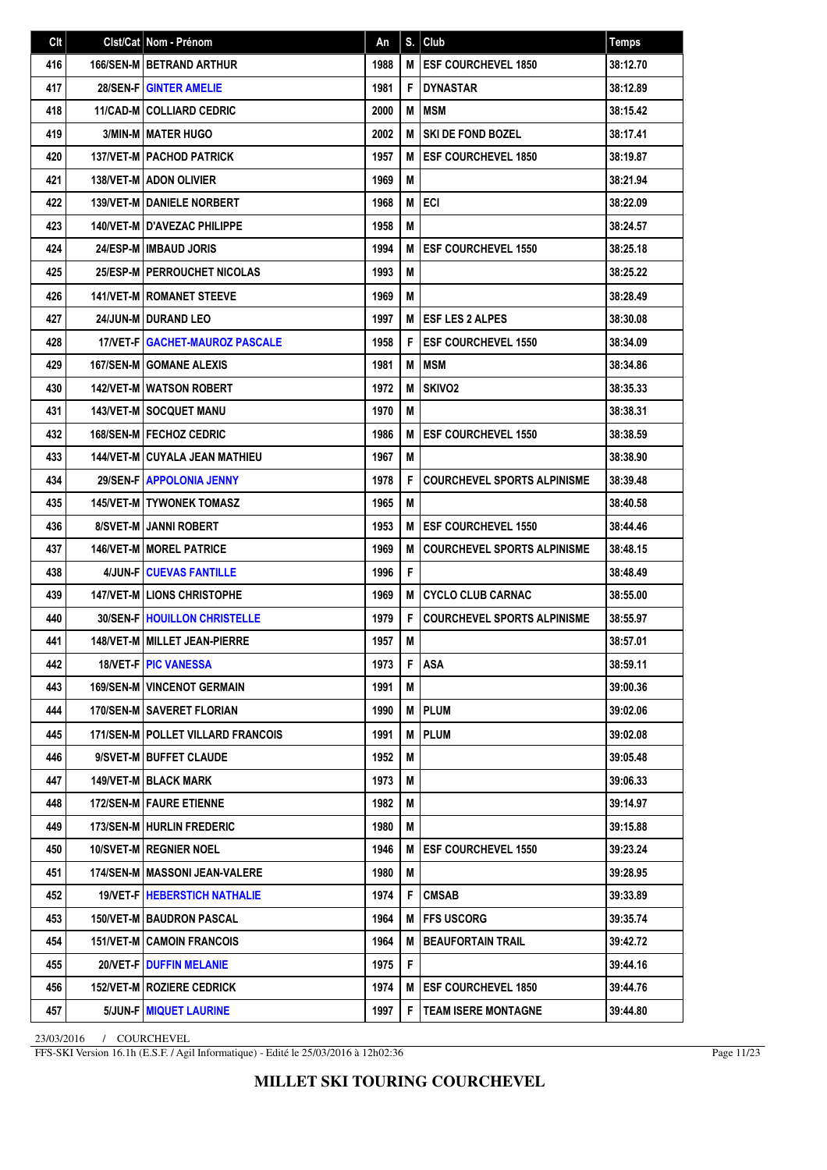| Clt | Clst/Cat   Nom - Prénom                    | An   | S. | Club                               | <b>Temps</b> |
|-----|--------------------------------------------|------|----|------------------------------------|--------------|
| 416 | <b>166/SEN-MIBETRAND ARTHUR</b>            | 1988 | M  | <b>ESF COURCHEVEL 1850</b>         | 38:12.70     |
| 417 | <b>28/SEN-FIGINTER AMELIE</b>              | 1981 | F  | <b>DYNASTAR</b>                    | 38:12.89     |
| 418 | <b>11/CAD-M COLLIARD CEDRIC</b>            | 2000 | M  | <b>MSM</b>                         | 38:15.42     |
| 419 | <b>3/MIN-M   MATER HUGO</b>                | 2002 | M  | <b>SKI DE FOND BOZEL</b>           | 38:17.41     |
| 420 | <b>137/VET-MIPACHOD PATRICK</b>            | 1957 | M  | <b>ESF COURCHEVEL 1850</b>         | 38:19.87     |
| 421 | <b>138/VET-M LADON OLIVIER</b>             | 1969 | М  |                                    | 38:21.94     |
| 422 | <b>139/VET-M   DANIELE NORBERT</b>         | 1968 | M  | <b>ECI</b>                         | 38:22.09     |
| 423 | <b>140/VET-M I D'AVEZAC PHILIPPE</b>       | 1958 | М  |                                    | 38:24.57     |
| 424 | 24/ESP-M   IMBAUD JORIS                    | 1994 | M  | <b>ESF COURCHEVEL 1550</b>         | 38:25.18     |
| 425 | 25/ESP-M PERROUCHET NICOLAS                | 1993 | М  |                                    | 38:25.22     |
| 426 | <b>141/VET-M   ROMANET STEEVE</b>          | 1969 | M  |                                    | 38:28.49     |
| 427 | <b>24/JUN-M   DURAND LEO</b>               | 1997 | M  | <b>ESF LES 2 ALPES</b>             | 38:30.08     |
| 428 | 17/VET-FIGACHET-MAUROZ PASCALE             | 1958 | F  | <b>ESF COURCHEVEL 1550</b>         | 38:34.09     |
| 429 | <b>167/SEN-M GOMANE ALEXIS</b>             | 1981 | M  | MSM                                | 38:34.86     |
| 430 | <b>142/VET-M WATSON ROBERT</b>             | 1972 | M  | SKIVO <sub>2</sub>                 | 38:35.33     |
| 431 | <b>143/VET-M SOCQUET MANU</b>              | 1970 | M  |                                    | 38:38.31     |
| 432 | <b>168/SEN-M   FECHOZ CEDRIC</b>           | 1986 | M  | <b>ESF COURCHEVEL 1550</b>         | 38:38.59     |
| 433 | <b>144/VET-M CUYALA JEAN MATHIEU</b>       | 1967 | М  |                                    | 38:38.90     |
| 434 | 29/SEN-F   APPOLONIA JENNY                 | 1978 | F  | <b>COURCHEVEL SPORTS ALPINISME</b> | 38:39.48     |
| 435 | <b>145/VET-M I TYWONEK TOMASZ</b>          | 1965 | M  |                                    | 38:40.58     |
| 436 | <b>8/SVET-MI JANNI ROBERT</b>              | 1953 | M  | <b>ESF COURCHEVEL 1550</b>         | 38:44.46     |
| 437 | <b>146/VET-M   MOREL PATRICE</b>           | 1969 | M  | <b>COURCHEVEL SPORTS ALPINISME</b> | 38:48.15     |
| 438 | 4/JUN-F CUEVAS FANTILLE                    | 1996 | F  |                                    | 38:48.49     |
| 439 | <b>147/VET-MILIONS CHRISTOPHE</b>          | 1969 | M  | <b>CYCLO CLUB CARNAC</b>           | 38:55.00     |
| 440 | <b>30/SEN-F   HOUILLON CHRISTELLE</b>      | 1979 | F  | <b>COURCHEVEL SPORTS ALPINISME</b> | 38:55.97     |
| 441 | 148/VET-M   MILLET JEAN-PIERRE             | 1957 | M  |                                    | 38:57.01     |
| 442 | <b>18/VET-FIPIC VANESSA</b>                | 1973 | F  | <b>ASA</b>                         | 38:59.11     |
| 443 | <b>169/SEN-M   VINCENOT GERMAIN</b>        | 1991 | M  |                                    | 39:00.36     |
| 444 | 170/SEN-M   SAVERET FLORIAN                | 1990 | M  | <b>PLUM</b>                        | 39:02.06     |
| 445 | <b>171/SEN-M   POLLET VILLARD FRANCOIS</b> | 1991 | M  | <b>PLUM</b>                        | 39:02.08     |
| 446 | 9/SVET-M BUFFET CLAUDE                     | 1952 | M  |                                    | 39:05.48     |
| 447 | <b>149/VET-M   BLACK MARK</b>              | 1973 | М  |                                    | 39:06.33     |
| 448 | 172/SEN-M   FAURE ETIENNE                  | 1982 | M  |                                    | 39:14.97     |
| 449 | 173/SEN-M   HURLIN FREDERIC                | 1980 | M  |                                    | 39:15.88     |
| 450 | 10/SVET-M   REGNIER NOEL                   | 1946 | M  | <b>ESF COURCHEVEL 1550</b>         | 39:23.24     |
| 451 | 174/SEN-M   MASSONI JEAN-VALERE            | 1980 | M  |                                    | 39:28.95     |
| 452 | 19/VET-F   HEBERSTICH NATHALIE             | 1974 | F  | <b>CMSAB</b>                       | 39:33.89     |
| 453 | 150/VET-M   BAUDRON PASCAL                 | 1964 | М  | <b>FFS USCORG</b>                  | 39:35.74     |
| 454 | <b>151/VET-M   CAMOIN FRANCOIS</b>         | 1964 | M  | <b>BEAUFORTAIN TRAIL</b>           | 39:42.72     |
| 455 | <b>20/VET-F   DUFFIN MELANIE</b>           | 1975 | F  |                                    | 39:44.16     |
| 456 | <b>152/VET-M   ROZIERE CEDRICK</b>         | 1974 | M  | <b>ESF COURCHEVEL 1850</b>         | 39:44.76     |
| 457 | 5/JUN-F   MIQUET LAURINE                   | 1997 | F  | <b>TEAM ISERE MONTAGNE</b>         | 39:44.80     |

FFS-SKI Version 16.1h (E.S.F. / Agil Informatique) - Edité le 25/03/2016 à 12h02:36

Page 11/23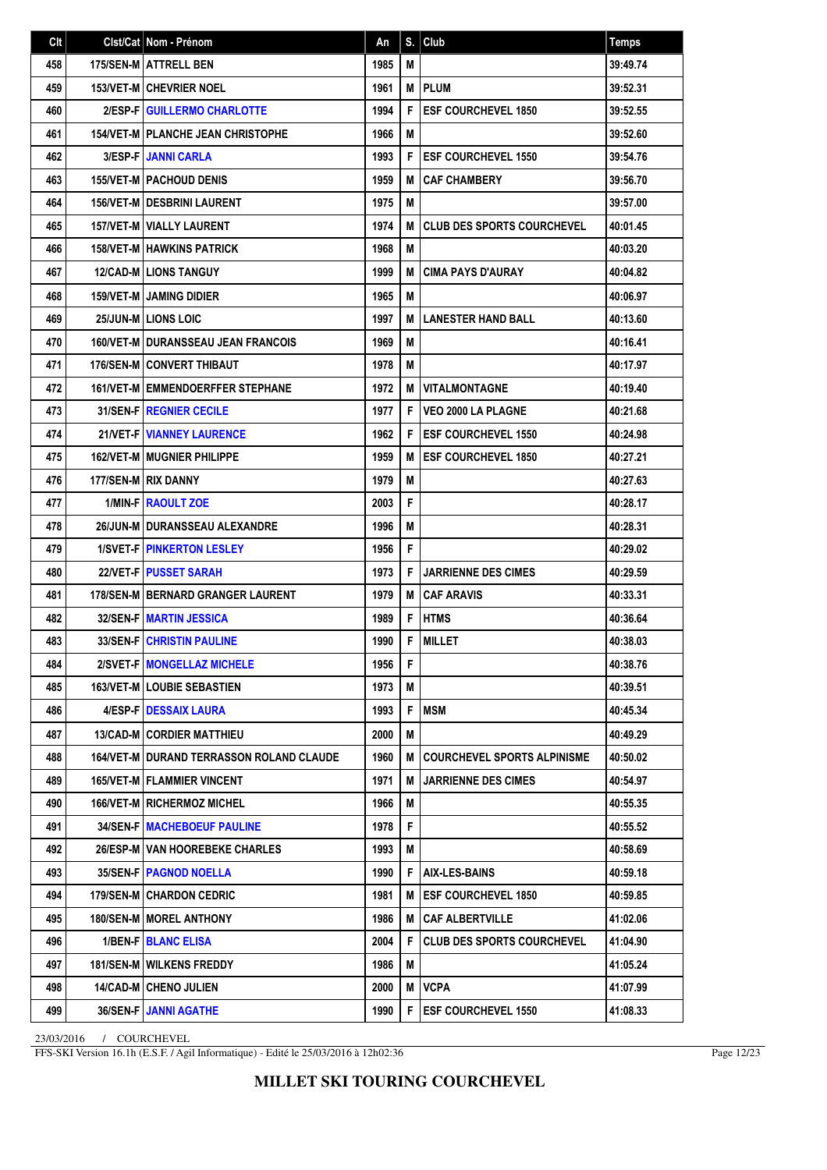| Clt | Clst/Cat   Nom - Prénom                         | An   | S. | Club                               | <b>Temps</b> |
|-----|-------------------------------------------------|------|----|------------------------------------|--------------|
| 458 | 175/SEN-M ATTRELL BEN                           | 1985 | M  |                                    | 39:49.74     |
| 459 | <b>153/VET-M CHEVRIER NOEL</b>                  | 1961 | M  | <b>PLUM</b>                        | 39:52.31     |
| 460 | 2/ESP-F GUILLERMO CHARLOTTE                     | 1994 | F  | <b>ESF COURCHEVEL 1850</b>         | 39:52.55     |
| 461 | <b>154/VET-M   PLANCHE JEAN CHRISTOPHE</b>      | 1966 | M  |                                    | 39:52.60     |
| 462 | <b>3/ESP-FIJANNI CARLA</b>                      | 1993 | F  | <b>ESF COURCHEVEL 1550</b>         | 39:54.76     |
| 463 | <b>155/VET-M   PACHOUD DENIS</b>                | 1959 | M  | <b>CAF CHAMBERY</b>                | 39:56.70     |
| 464 | <b>156/VET-MIDESBRINI LAURENT</b>               | 1975 | M  |                                    | 39:57.00     |
| 465 | <b>157/VET-M   VIALLY LAURENT</b>               | 1974 | M  | <b>CLUB DES SPORTS COURCHEVEL</b>  | 40:01.45     |
| 466 | <b>158/VET-M HAWKINS PATRICK</b>                | 1968 | M  |                                    | 40:03.20     |
| 467 | <b>12/CAD-MILIONS TANGUY</b>                    | 1999 | M  | <b>CIMA PAYS D'AURAY</b>           | 40:04.82     |
| 468 | <b>159/VET-M   JAMING DIDIER</b>                | 1965 | M  |                                    | 40:06.97     |
| 469 | 25/JUN-M LIONS LOIC                             | 1997 | M  | <b>LANESTER HAND BALL</b>          | 40:13.60     |
| 470 | <b>160/VET-M I DURANSSEAU JEAN FRANCOIS</b>     | 1969 | M  |                                    | 40:16.41     |
| 471 | <b>176/SEN-M CONVERT THIBAUT</b>                | 1978 | M  |                                    | 40:17.97     |
| 472 | <b>161/VET-M EMMENDOERFFER STEPHANE</b>         | 1972 | M  | <b>VITALMONTAGNE</b>               | 40:19.40     |
| 473 | <b>31/SEN-FIREGNIER CECILE</b>                  | 1977 | F  | <b>VEO 2000 LA PLAGNE</b>          | 40:21.68     |
| 474 | 21/VET-F   VIANNEY LAURENCE                     | 1962 | F  | <b>ESF COURCHEVEL 1550</b>         | 40:24.98     |
| 475 | <b>162/VET-M MUGNIER PHILIPPE</b>               | 1959 | M  | <b>ESF COURCHEVEL 1850</b>         | 40:27.21     |
| 476 | 177/SEN-M RIX DANNY                             | 1979 | M  |                                    | 40:27.63     |
| 477 | <b>1/MIN-FIRAOULT ZOE</b>                       | 2003 | F  |                                    | 40:28.17     |
| 478 | 26/JUN-M I DURANSSEAU ALEXANDRE                 | 1996 | M  |                                    | 40:28.31     |
| 479 | <b>1/SVET-FIPINKERTON LESLEY</b>                | 1956 | F  |                                    | 40:29.02     |
| 480 | <b>22/VET-FIPUSSET SARAH</b>                    | 1973 | F  | <b>JARRIENNE DES CIMES</b>         | 40:29.59     |
| 481 | <b>178/SEN-M BERNARD GRANGER LAURENT</b>        | 1979 | M  | <b>CAF ARAVIS</b>                  | 40:33.31     |
| 482 | <b>32/SEN-FIMARTIN JESSICA</b>                  | 1989 | F  | <b>HTMS</b>                        | 40:36.64     |
| 483 | <b>33/SEN-FICHRISTIN PAULINE</b>                | 1990 | F  | <b>MILLET</b>                      | 40:38.03     |
| 484 | 2/SVET-F   MONGELLAZ MICHELE                    | 1956 | F  |                                    | 40:38.76     |
| 485 | 163/VET-M   LOUBIE SEBASTIEN                    | 1973 | M  |                                    | 40:39.51     |
| 486 | 4/ESP-FIDESSAIX LAURA                           | 1993 | F  | <b>MSM</b>                         | 40:45.34     |
| 487 | <b>13/CAD-M CORDIER MATTHIEU</b>                | 2000 | M  |                                    | 40:49.29     |
| 488 | <b>164/VET-M DURAND TERRASSON ROLAND CLAUDE</b> | 1960 | M  | <b>COURCHEVEL SPORTS ALPINISME</b> | 40:50.02     |
| 489 | <b>165/VET-MIFLAMMIER VINCENT</b>               | 1971 | M  | <b>JARRIENNE DES CIMES</b>         | 40:54.97     |
| 490 | <b>166/VET-MIRICHERMOZ MICHEL</b>               | 1966 | M  |                                    | 40:55.35     |
| 491 | <b>34/SEN-F   MACHEBOEUF PAULINE</b>            | 1978 | F  |                                    | 40:55.52     |
| 492 | 26/ESP-M VAN HOOREBEKE CHARLES                  | 1993 | М  |                                    | 40:58.69     |
| 493 | <b>35/SEN-F   PAGNOD NOELLA</b>                 | 1990 | F  | <b>AIX-LES-BAINS</b>               | 40:59.18     |
| 494 | <b>179/SEN-M   CHARDON CEDRIC</b>               | 1981 | M  | <b>ESF COURCHEVEL 1850</b>         | 40:59.85     |
| 495 | 180/SEN-M   MOREL ANTHONY                       | 1986 | M  | <b>CAF ALBERTVILLE</b>             | 41:02.06     |
| 496 | 1/BEN-F   BLANC ELISA                           | 2004 | F  | <b>CLUB DES SPORTS COURCHEVEL</b>  | 41:04.90     |
| 497 | <b>181/SEN-M   WILKENS FREDDY</b>               | 1986 | M  |                                    | 41:05.24     |
| 498 | <b>14/CAD-M   CHENO JULIEN</b>                  | 2000 | M  | <b>VCPA</b>                        | 41:07.99     |
| 499 | 36/SEN-F JANNI AGATHE                           | 1990 | F  | <b>ESF COURCHEVEL 1550</b>         | 41:08.33     |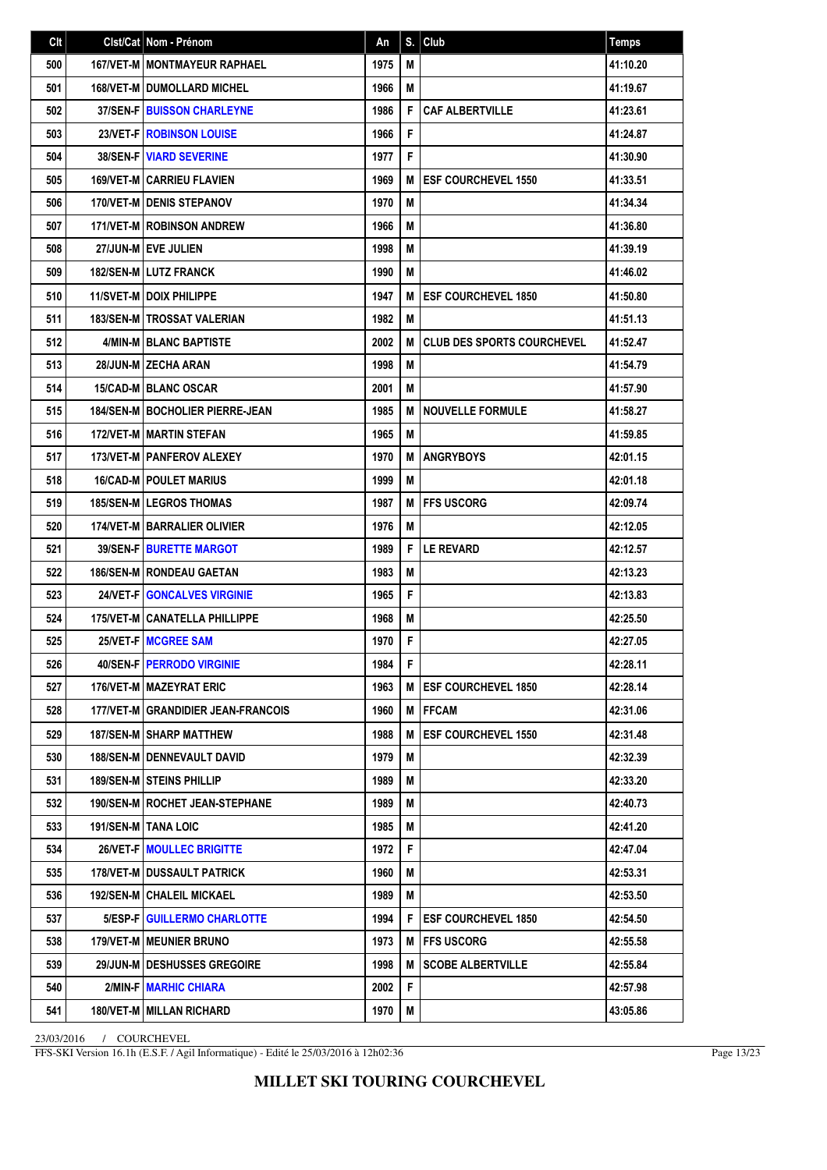| Clt | Cist/Cat   Nom - Prénom                  | An   | S. | Club                              | <b>Temps</b> |
|-----|------------------------------------------|------|----|-----------------------------------|--------------|
| 500 | <b>167/VET-M   MONTMAYEUR RAPHAEL</b>    | 1975 | M  |                                   | 41:10.20     |
| 501 | <b>168/VET-M I DUMOLLARD MICHEL</b>      | 1966 | М  |                                   | 41:19.67     |
| 502 | <b>37/SEN-FIBUISSON CHARLEYNE</b>        | 1986 | F  | <b>CAF ALBERTVILLE</b>            | 41:23.61     |
| 503 | 23/VET-F   ROBINSON LOUISE               | 1966 | F  |                                   | 41:24.87     |
| 504 | <b>38/SEN-F VIARD SEVERINE</b>           | 1977 | F  |                                   | 41:30.90     |
| 505 | <b>169/VET-M CARRIEU FLAVIEN</b>         | 1969 | M  | <b>ESF COURCHEVEL 1550</b>        | 41:33.51     |
| 506 | <b>170/VET-M I DENIS STEPANOV</b>        | 1970 | M  |                                   | 41:34.34     |
| 507 | <b>171/VET-M ROBINSON ANDREW</b>         | 1966 | М  |                                   | 41:36.80     |
| 508 | 27/JUN-M EVE JULIEN                      | 1998 | М  |                                   | 41:39.19     |
| 509 | 182/SEN-M LUTZ FRANCK                    | 1990 | М  |                                   | 41:46.02     |
| 510 | 11/SVET-M DOIX PHILIPPE                  | 1947 | M  | <b>ESF COURCHEVEL 1850</b>        | 41:50.80     |
| 511 | <b>183/SEN-MITROSSAT VALERIAN</b>        | 1982 | М  |                                   | 41:51.13     |
| 512 | 4/MIN-M BLANC BAPTISTE                   | 2002 | M  | <b>CLUB DES SPORTS COURCHEVEL</b> | 41:52.47     |
| 513 | 28/JUN-M ZECHA ARAN                      | 1998 | M  |                                   | 41:54.79     |
| 514 | <b>15/CAD-MIBLANC OSCAR</b>              | 2001 | М  |                                   | 41:57.90     |
| 515 | <b>184/SEN-M   BOCHOLIER PIERRE-JEAN</b> | 1985 | M  | <b>NOUVELLE FORMULE</b>           | 41:58.27     |
| 516 | <b>172/VET-M MARTIN STEFAN</b>           | 1965 | М  |                                   | 41:59.85     |
| 517 | 173/VET-M   PANFEROV ALEXEY              | 1970 | M  | <b>ANGRYBOYS</b>                  | 42:01.15     |
| 518 | <b>16/CAD-M POULET MARIUS</b>            | 1999 | M  |                                   | 42:01.18     |
| 519 | <b>185/SEN-MILEGROS THOMAS</b>           | 1987 | M  | <b>IFFS USCORG</b>                | 42:09.74     |
| 520 | <b>174/VET-M BARRALIER OLIVIER</b>       | 1976 | М  |                                   | 42:12.05     |
| 521 | 39/SEN-F   BURETTE MARGOT                | 1989 | F  | <b>LE REVARD</b>                  | 42:12.57     |
| 522 | 186/SEN-M RONDEAU GAETAN                 | 1983 | М  |                                   | 42:13.23     |
| 523 | 24/VET-F GONCALVES VIRGINIE              | 1965 | F  |                                   | 42:13.83     |
| 524 | <b>175/VET-M CANATELLA PHILLIPPE</b>     | 1968 | М  |                                   | 42:25.50     |
| 525 | 25/VET-F   MCGREE SAM                    | 1970 | F  |                                   | 42:27.05     |
| 526 | <b>40/SEN-FIPERRODO VIRGINIE</b>         | 1984 | F. |                                   | 42:28.11     |
| 527 | 176/VET-M MAZEYRAT ERIC                  | 1963 | M  | <b>IESF COURCHEVEL 1850</b>       | 42:28.14     |
| 528 | 177/VET-M GRANDIDIER JEAN-FRANCOIS       | 1960 | M  | <b> FFCAM</b>                     | 42:31.06     |
| 529 | <b>187/SEN-M SHARP MATTHEW</b>           | 1988 | M  | <b>ESF COURCHEVEL 1550</b>        | 42:31.48     |
| 530 | 188/SEN-M   DENNEVAULT DAVID             | 1979 | M  |                                   | 42:32.39     |
| 531 | <b>189/SEN-M STEINS PHILLIP</b>          | 1989 | M  |                                   | 42:33.20     |
| 532 | <b>190/SEN-M   ROCHET JEAN-STEPHANE</b>  | 1989 | M  |                                   | 42:40.73     |
| 533 | 191/SEN-M   TANA LOIC                    | 1985 | М  |                                   | 42:41.20     |
| 534 | 26/VET-F   MOULLEC BRIGITTE              | 1972 | F  |                                   | 42:47.04     |
| 535 | <b>178/VET-M DUSSAULT PATRICK</b>        | 1960 | M  |                                   | 42:53.31     |
| 536 | 192/SEN-M   CHALEIL MICKAEL              | 1989 | М  |                                   | 42:53.50     |
| 537 | 5/ESP-F GUILLERMO CHARLOTTE              | 1994 | F  | <b>ESF COURCHEVEL 1850</b>        | 42:54.50     |
| 538 | <b>179/VET-M   MEUNIER BRUNO</b>         | 1973 | M  | FFS USCORG                        | 42:55.58     |
| 539 | 29/JUN-M DESHUSSES GREGOIRE              | 1998 | M  | <b>SCOBE ALBERTVILLE</b>          | 42:55.84     |
| 540 | 2/MIN-F MARHIC CHIARA                    | 2002 | F  |                                   | 42:57.98     |
| 541 | 180/VET-M   MILLAN RICHARD               | 1970 | M  |                                   | 43:05.86     |

FFS-SKI Version 16.1h (E.S.F. / Agil Informatique) - Edité le 25/03/2016 à 12h02:36

Page 13/23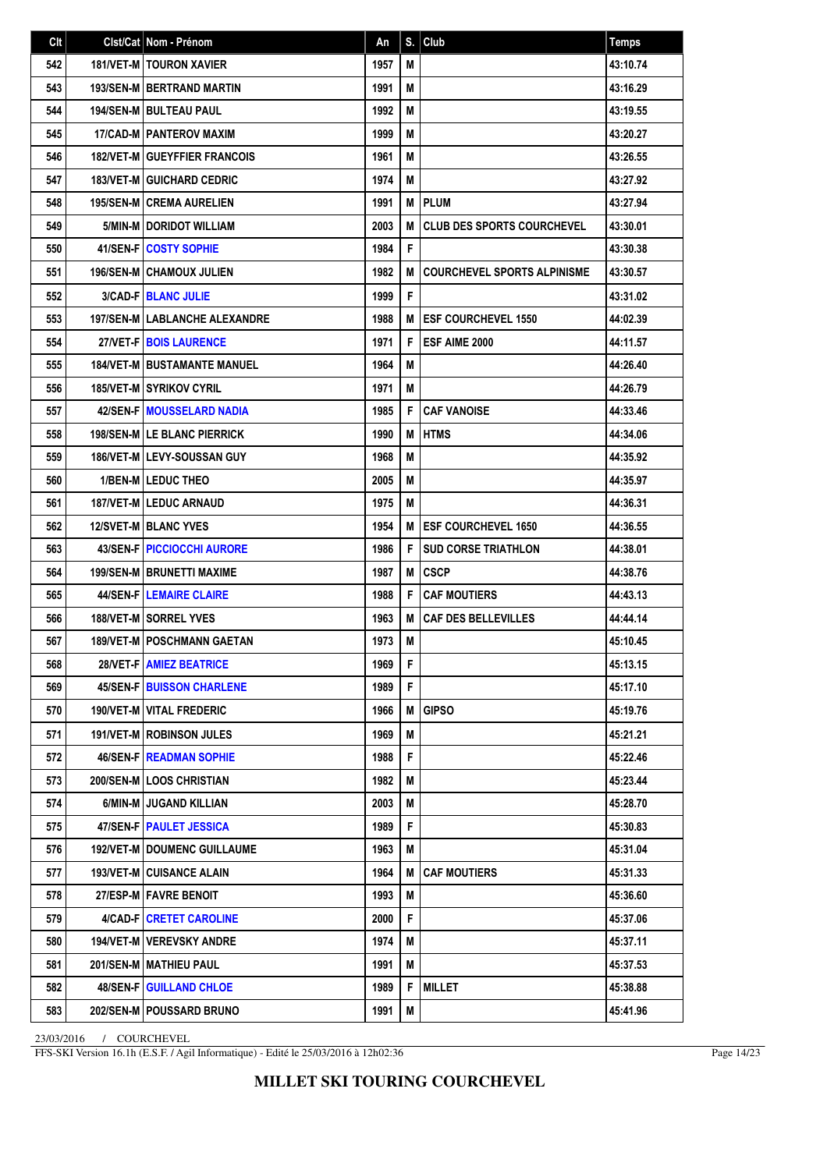| Clt | Clst/Cat   Nom - Prénom                | An   | S. | Club                               | <b>Temps</b> |
|-----|----------------------------------------|------|----|------------------------------------|--------------|
| 542 | 181/VET-M   TOURON XAVIER              | 1957 | М  |                                    | 43:10.74     |
| 543 | <b>193/SEN-M BERTRAND MARTIN</b>       | 1991 | M  |                                    | 43:16.29     |
| 544 | <b>194/SEN-M   BULTEAU PAUL</b>        | 1992 | M  |                                    | 43:19.55     |
| 545 | <b>17/CAD-MI PANTEROV MAXIM</b>        | 1999 | М  |                                    | 43:20.27     |
| 546 | <b>182/VET-M GUEYFFIER FRANCOIS</b>    | 1961 | М  |                                    | 43:26.55     |
| 547 | <b>183/VET-M GUICHARD CEDRIC</b>       | 1974 | М  |                                    | 43:27.92     |
| 548 | <b>195/SEN-M CREMA AURELIEN</b>        | 1991 | М  | <b>PLUM</b>                        | 43:27.94     |
| 549 | 5/MIN-M DORIDOT WILLIAM                | 2003 | M  | <b>CLUB DES SPORTS COURCHEVEL</b>  | 43:30.01     |
| 550 | 41/SEN-F COSTY SOPHIE                  | 1984 | F  |                                    | 43:30.38     |
| 551 | <b>196/SEN-M CHAMOUX JULIEN</b>        | 1982 | M  | <b>COURCHEVEL SPORTS ALPINISME</b> | 43:30.57     |
| 552 | <b>3/CAD-FIBLANC JULIE</b>             | 1999 | F  |                                    | 43:31.02     |
| 553 | <b>197/SEN-M   LABLANCHE ALEXANDRE</b> | 1988 | M  | <b>ESF COURCHEVEL 1550</b>         | 44:02.39     |
| 554 | 27/VET-F BOIS LAURENCE                 | 1971 | F  | ESF AIME 2000                      | 44:11.57     |
| 555 | <b>184/VET-M BUSTAMANTE MANUEL</b>     | 1964 | М  |                                    | 44:26.40     |
| 556 | <b>185/VET-M SYRIKOV CYRIL</b>         | 1971 | M  |                                    | 44:26.79     |
| 557 | <b>42/SEN-FIMOUSSELARD NADIA</b>       | 1985 | F  | <b>CAF VANOISE</b>                 | 44:33.46     |
| 558 | <b>198/SEN-MILE BLANC PIERRICK</b>     | 1990 | M  | <b>HTMS</b>                        | 44:34.06     |
| 559 | <b>186/VET-MILEVY-SOUSSAN GUY</b>      | 1968 | M  |                                    | 44:35.92     |
| 560 | <b>1/BEN-MILEDUC THEO</b>              | 2005 | М  |                                    | 44:35.97     |
| 561 | <b>187/VET-MILEDUC ARNAUD</b>          | 1975 | М  |                                    | 44:36.31     |
| 562 | <b>12/SVET-MIBLANC YVES</b>            | 1954 | M  | <b>ESF COURCHEVEL 1650</b>         | 44:36.55     |
| 563 | <b>43/SEN-F   PICCIOCCHI AURORE</b>    | 1986 | F  | <b>SUD CORSE TRIATHLON</b>         | 44:38.01     |
| 564 | <b>199/SEN-M BRUNETTI MAXIME</b>       | 1987 | M  | <b>CSCP</b>                        | 44:38.76     |
| 565 | <b>44/SEN-FILEMAIRE CLAIRE</b>         | 1988 | F  | <b>CAF MOUTIERS</b>                | 44:43.13     |
| 566 | <b>188/VET-M   SORREL YVES</b>         | 1963 | M  | <b>CAF DES BELLEVILLES</b>         | 44:44.14     |
| 567 | <b>189/VET-M   POSCHMANN GAETAN</b>    | 1973 | M  |                                    | 45:10.45     |
| 568 | <b>28/VET-F   AMIEZ BEATRICE</b>       | 1969 | F  |                                    | 45:13.15     |
| 569 | <b>45/SEN-F   BUISSON CHARLENE</b>     | 1989 | F. |                                    | 45:17.10     |
| 570 | 190/VET-M VITAL FREDERIC               | 1966 | M  | <b>GIPSO</b>                       | 45:19.76     |
| 571 | <b>191/VET-M ROBINSON JULES</b>        | 1969 | M  |                                    | 45:21.21     |
| 572 | <b>46/SEN-F READMAN SOPHIE</b>         | 1988 | F  |                                    | 45:22.46     |
| 573 | <b>200/SEN-MILOOS CHRISTIAN</b>        | 1982 | M  |                                    | 45:23.44     |
| 574 | 6/MIN-M JUGAND KILLIAN                 | 2003 | M  |                                    | 45:28.70     |
| 575 | 47/SEN-F PAULET JESSICA                | 1989 | F  |                                    | 45:30.83     |
| 576 | <b>192/VET-M   DOUMENC GUILLAUME</b>   | 1963 | M  |                                    | 45:31.04     |
| 577 | <b>193/VET-M   CUISANCE ALAIN</b>      | 1964 | M  | <b>CAF MOUTIERS</b>                | 45:31.33     |
| 578 | 27/ESP-M   FAVRE BENOIT                | 1993 | M  |                                    | 45:36.60     |
| 579 | 4/CAD-F CRETET CAROLINE                | 2000 | F  |                                    | 45:37.06     |
| 580 | 194/VET-M   VEREVSKY ANDRE             | 1974 | M  |                                    | 45:37.11     |
| 581 | 201/SEN-M   MATHIEU PAUL               | 1991 | M  |                                    | 45:37.53     |
| 582 | <b>48/SEN-F   GUILLAND CHLOE</b>       | 1989 | F  | <b>MILLET</b>                      | 45:38.88     |
| 583 | 202/SEN-M   POUSSARD BRUNO             | 1991 | М  |                                    | 45:41.96     |

FFS-SKI Version 16.1h (E.S.F. / Agil Informatique) - Edité le 25/03/2016 à 12h02:36

Page 14/23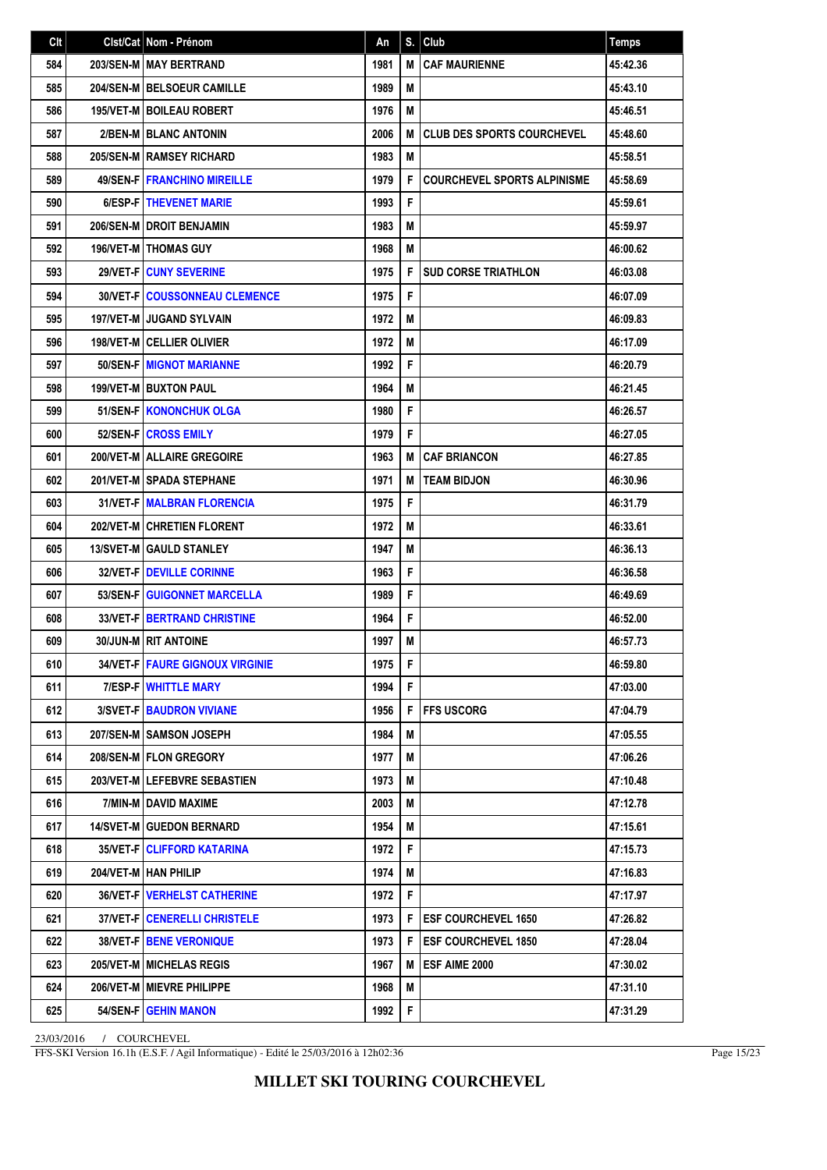| Clt | Cist/Cat   Nom - Prénom                  | An   | S. | Club                               | <b>Temps</b> |
|-----|------------------------------------------|------|----|------------------------------------|--------------|
| 584 | 203/SEN-M MAY BERTRAND                   | 1981 | M  | <b>CAF MAURIENNE</b>               | 45:42.36     |
| 585 | 204/SEN-M BELSOEUR CAMILLE               | 1989 | M  |                                    | 45:43.10     |
| 586 | <b>195/VET-M BOILEAU ROBERT</b>          | 1976 | М  |                                    | 45:46.51     |
| 587 | 2/BEN-M BLANC ANTONIN                    | 2006 | M  | <b>CLUB DES SPORTS COURCHEVEL</b>  | 45:48.60     |
| 588 | 205/SEN-M RAMSEY RICHARD                 | 1983 | M  |                                    | 45:58.51     |
| 589 | <b>49/SEN-FIFRANCHINO MIREILLE</b>       | 1979 | F  | <b>COURCHEVEL SPORTS ALPINISME</b> | 45:58.69     |
| 590 | 6/ESP-FITHEVENET MARIE                   | 1993 | F  |                                    | 45:59.61     |
| 591 | 206/SEN-M DROIT BENJAMIN                 | 1983 | M  |                                    | 45:59.97     |
| 592 | <b>196/VET-M   THOMAS GUY</b>            | 1968 | М  |                                    | 46:00.62     |
| 593 | <b>29/VET-FICUNY SEVERINE</b>            | 1975 | F  | <b>SUD CORSE TRIATHLON</b>         | 46:03.08     |
| 594 | <b>30/VET-F   COUSSONNEAU CLEMENCE</b>   | 1975 | F  |                                    | 46:07.09     |
| 595 | <b>197/VET-M JUGAND SYLVAIN</b>          | 1972 | M  |                                    | 46:09.83     |
| 596 | <b>198/VET-M   CELLIER OLIVIER</b>       | 1972 | М  |                                    | 46:17.09     |
| 597 | <b>50/SEN-FIMIGNOT MARIANNE</b>          | 1992 | F  |                                    | 46:20.79     |
| 598 | 199/VET-M   BUXTON PAUL                  | 1964 | M  |                                    | 46:21.45     |
| 599 | 51/SEN-F   KONONCHUK OLGA                | 1980 | F  |                                    | 46:26.57     |
| 600 | 52/SEN-F CROSS EMILY                     | 1979 | F  |                                    | 46:27.05     |
| 601 | 200/VET-M ALLAIRE GREGOIRE               | 1963 | M  | <b>CAF BRIANCON</b>                | 46:27.85     |
| 602 | 201/VET-M SPADA STEPHANE                 | 1971 | M  | <b>TEAM BIDJON</b>                 | 46:30.96     |
| 603 | <b>31/VET-F   MALBRAN FLORENCIA</b>      | 1975 | F  |                                    | 46:31.79     |
| 604 | <b>202/VET-MICHRETIEN FLORENT</b>        | 1972 | М  |                                    | 46:33.61     |
| 605 | <b>13/SVET-M GAULD STANLEY</b>           | 1947 | M  |                                    | 46:36.13     |
| 606 | <b>32/VET-FIDEVILLE CORINNE</b>          | 1963 | F  |                                    | 46:36.58     |
| 607 | 53/SEN-F GUIGONNET MARCELLA              | 1989 | F  |                                    | 46:49.69     |
| 608 | <b>33/VET-F   BERTRAND CHRISTINE</b>     | 1964 | F  |                                    | 46:52.00     |
| 609 | 30/JUN-M RIT ANTOINE                     | 1997 | M  |                                    | 46:57.73     |
| 610 | <b>34/VET-F   FAURE GIGNOUX VIRGINIE</b> | 1975 | F. |                                    | 46:59.80     |
| 611 | <b>7/ESP-F   WHITTLE MARY</b>            | 1994 | F. |                                    | 47:03.00     |
| 612 | 3/SVET-F   BAUDRON VIVIANE               | 1956 | F  | <b>FFS USCORG</b>                  | 47:04.79     |
| 613 | 207/SEN-M SAMSON JOSEPH                  | 1984 | M  |                                    | 47:05.55     |
| 614 | 208/SEN-M   FLON GREGORY                 | 1977 | M  |                                    | 47:06.26     |
| 615 | 203/VET-M LEFEBVRE SEBASTIEN             | 1973 | M  |                                    | 47:10.48     |
| 616 | 7/MIN-M I DAVID MAXIME                   | 2003 | М  |                                    | 47:12.78     |
| 617 | <b>14/SVET-M GUEDON BERNARD</b>          | 1954 | M  |                                    | 47:15.61     |
| 618 | <b>35/VET-F   CLIFFORD KATARINA</b>      | 1972 | F  |                                    | 47:15.73     |
| 619 | 204/VET-M   HAN PHILIP                   | 1974 | M  |                                    | 47:16.83     |
| 620 | <b>36/VET-F   VERHELST CATHERINE</b>     | 1972 | F. |                                    | 47:17.97     |
| 621 | 37/VET-F   CENERELLI CHRISTELE           | 1973 | F  | <b>ESF COURCHEVEL 1650</b>         | 47:26.82     |
| 622 | <b>38/VET-F   BENE VERONIQUE</b>         | 1973 | F  | <b>ESF COURCHEVEL 1850</b>         | 47:28.04     |
| 623 | 205/VET-M MICHELAS REGIS                 | 1967 | M  | <b>ESF AIME 2000</b>               | 47:30.02     |
| 624 | 206/VET-M   MIEVRE PHILIPPE              | 1968 | M  |                                    | 47:31.10     |
| 625 | 54/SEN-F GEHIN MANON                     | 1992 | F  |                                    | 47:31.29     |

FFS-SKI Version 16.1h (E.S.F. / Agil Informatique) - Edité le 25/03/2016 à 12h02:36

Page 15/23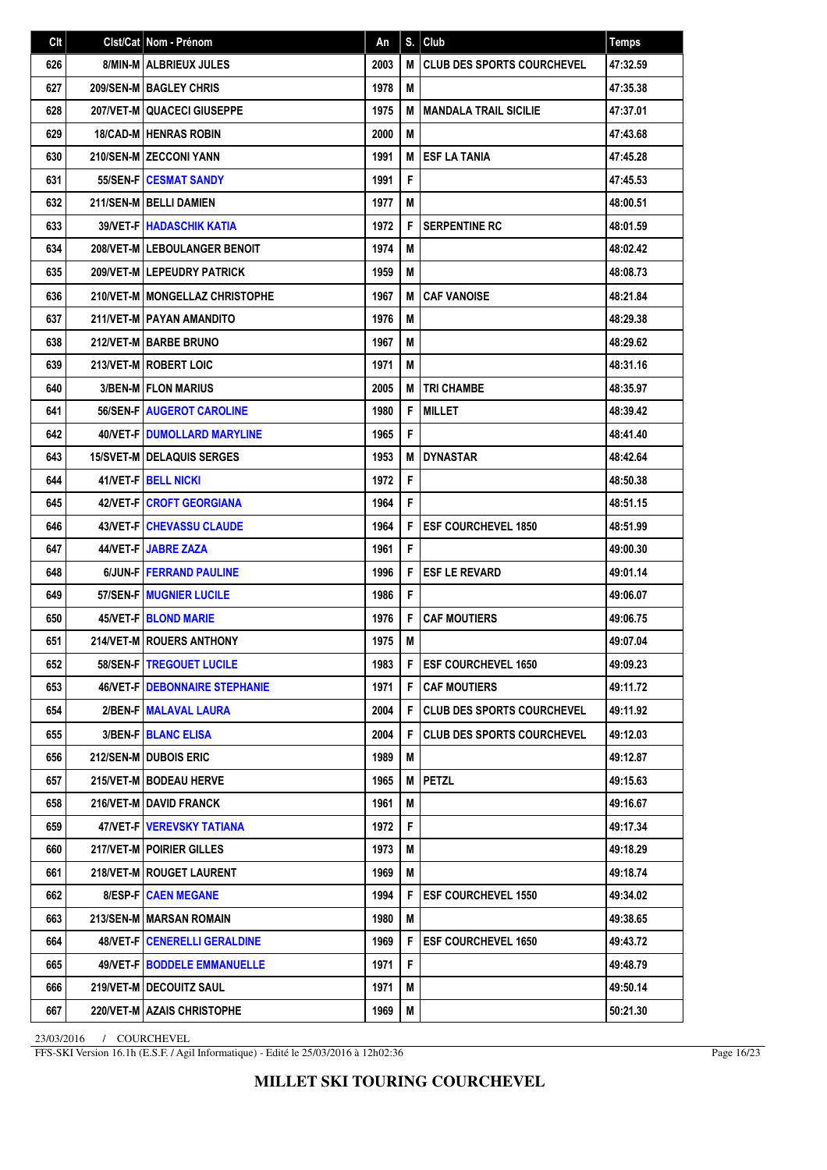| Clt | Clst/Cat Nom - Prénom                | An   | S. | Club                              | <b>Temps</b> |
|-----|--------------------------------------|------|----|-----------------------------------|--------------|
| 626 | 8/MIN-M   ALBRIEUX JULES             | 2003 | M  | <b>CLUB DES SPORTS COURCHEVEL</b> | 47:32.59     |
| 627 | <b>209/SEN-MIBAGLEY CHRIS</b>        | 1978 | M  |                                   | 47:35.38     |
| 628 | <b>207/VET-MIQUACECI GIUSEPPE</b>    | 1975 | M  | <b>MANDALA TRAIL SICILIE</b>      | 47:37.01     |
| 629 | <b>18/CAD-M HENRAS ROBIN</b>         | 2000 | M  |                                   | 47:43.68     |
| 630 | 210/SEN-M ZECCONI YANN               | 1991 | M  | <b>ESF LA TANIA</b>               | 47:45.28     |
| 631 | <b>55/SEN-FICESMAT SANDY</b>         | 1991 | F  |                                   | 47:45.53     |
| 632 | 211/SEN-M BELLI DAMIEN               | 1977 | M  |                                   | 48:00.51     |
| 633 | <b>39/VET-F HADASCHIK KATIA</b>      | 1972 | F  | <b>SERPENTINE RC</b>              | 48:01.59     |
| 634 | 208/VET-M LEBOULANGER BENOIT         | 1974 | M  |                                   | 48:02.42     |
| 635 | 209/VET-M LEPEUDRY PATRICK           | 1959 | М  |                                   | 48:08.73     |
| 636 | 210/VET-M   MONGELLAZ CHRISTOPHE     | 1967 | M  | <b>CAF VANOISE</b>                | 48:21.84     |
| 637 | 211/VET-M PAYAN AMANDITO             | 1976 | M  |                                   | 48:29.38     |
| 638 | 212/VET-M BARBE BRUNO                | 1967 | M  |                                   | 48:29.62     |
| 639 | 213/VET-M ROBERT LOIC                | 1971 | M  |                                   | 48:31.16     |
| 640 | <b>3/BEN-MIFLON MARIUS</b>           | 2005 | M  | <b>TRI CHAMBE</b>                 | 48:35.97     |
| 641 | <b>56/SEN-FIAUGEROT CAROLINE</b>     | 1980 | F  | <b>MILLET</b>                     | 48:39.42     |
| 642 | <b>40/VET-FIDUMOLLARD MARYLINE</b>   | 1965 | F  |                                   | 48:41.40     |
| 643 | <b>15/SVET-M DELAQUIS SERGES</b>     | 1953 | M  | <b>DYNASTAR</b>                   | 48:42.64     |
| 644 | <b>41/VET-FIBELL NICKI</b>           | 1972 | F  |                                   | 48:50.38     |
| 645 | <b>42/VET-FICROFT GEORGIANA</b>      | 1964 | F  |                                   | 48:51.15     |
| 646 | 43/VET-F   CHEVASSU CLAUDE           | 1964 | F  | <b>ESF COURCHEVEL 1850</b>        | 48:51.99     |
| 647 | 44/VET-FUJABRE ZAZA                  | 1961 | F  |                                   | 49:00.30     |
| 648 | 6/JUN-FIFERRAND PAULINE              | 1996 | F  | <b>ESF LE REVARD</b>              | 49:01.14     |
| 649 | 57/SEN-F   MUGNIER LUCILE            | 1986 | F  |                                   | 49:06.07     |
| 650 | <b>45/VET-FIBLOND MARIE</b>          | 1976 | F  | <b>CAF MOUTIERS</b>               | 49:06.75     |
| 651 | 214/VET-M ROUERS ANTHONY             | 1975 | M  |                                   | 49:07.04     |
| 652 | 58/SEN-F   TREGOUET LUCILE           | 1983 | F  | <b>ESF COURCHEVEL 1650</b>        | 49:09.23     |
| 653 | <b>46/VET-F DEBONNAIRE STEPHANIE</b> | 1971 | F  | <b>CAF MOUTIERS</b>               | 49:11.72     |
| 654 | 2/BEN-FIMALAVAL LAURA                | 2004 | F  | <b>CLUB DES SPORTS COURCHEVEL</b> | 49:11.92     |
| 655 | 3/BEN-F   BLANC ELISA                | 2004 | F  | <b>CLUB DES SPORTS COURCHEVEL</b> | 49:12.03     |
| 656 | 212/SEN-M DUBOIS ERIC                | 1989 | M  |                                   | 49:12.87     |
| 657 | 215/VET-M BODEAU HERVE               | 1965 | M  | <b>PETZL</b>                      | 49:15.63     |
| 658 | 216/VET-M   DAVID FRANCK             | 1961 | M  |                                   | 49:16.67     |
| 659 | 47/VET-F VEREVSKY TATIANA            | 1972 | F  |                                   | 49:17.34     |
| 660 | 217/VET-M   POIRIER GILLES           | 1973 | M  |                                   | 49:18.29     |
| 661 | 218/VET-M   ROUGET LAURENT           | 1969 | M  |                                   | 49:18.74     |
| 662 | 8/ESP-F   CAEN MEGANE                | 1994 | F  | <b>ESF COURCHEVEL 1550</b>        | 49:34.02     |
| 663 | 213/SEN-M MARSAN ROMAIN              | 1980 | M  |                                   | 49:38.65     |
| 664 | 48/VET-F   CENERELLI GERALDINE       | 1969 | F  | <b>ESF COURCHEVEL 1650</b>        | 49:43.72     |
| 665 | 49/VET-F   BODDELE EMMANUELLE        | 1971 | F  |                                   | 49:48.79     |
| 666 | 219/VET-M DECOUITZ SAUL              | 1971 | M  |                                   | 49:50.14     |
| 667 | 220/VET-M AZAIS CHRISTOPHE           | 1969 | М  |                                   | 50:21.30     |

FFS-SKI Version 16.1h (E.S.F. / Agil Informatique) - Edité le 25/03/2016 à 12h02:36

Page 16/23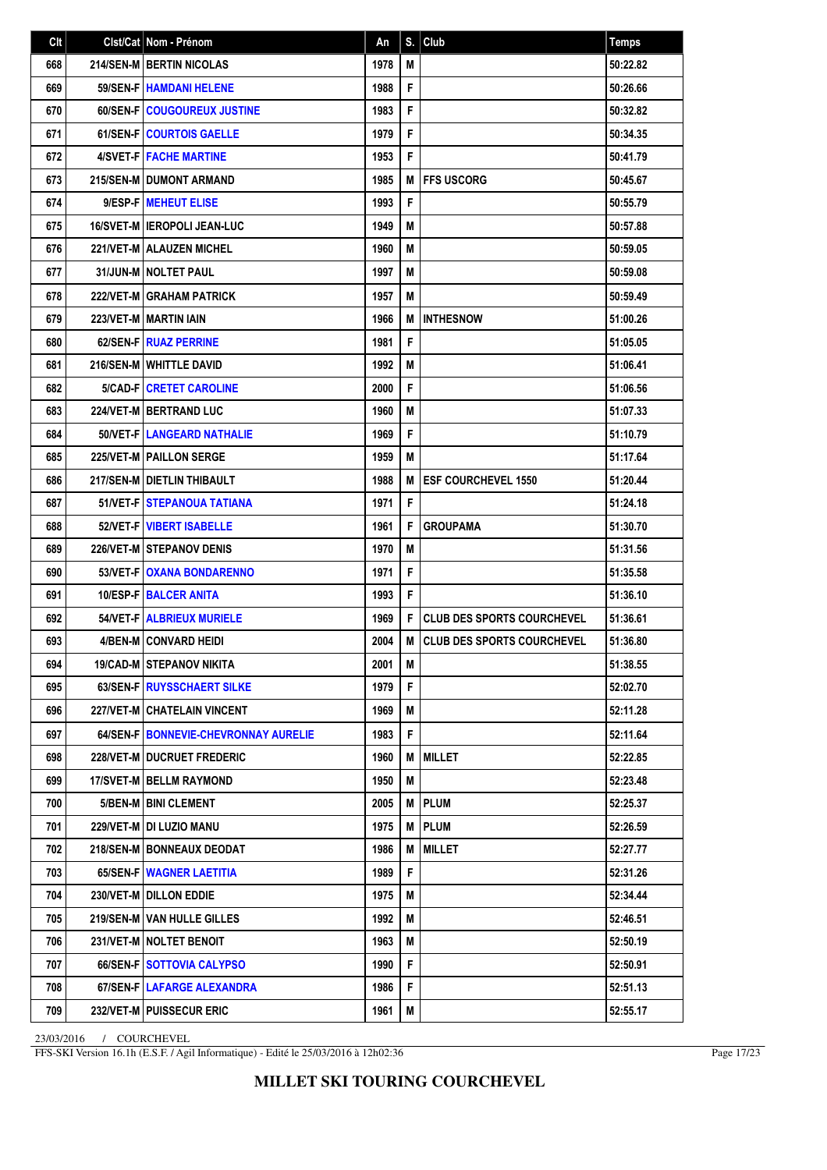| Clt | Clst/Cat Nom - Prénom                  | An   | S. | Club                              | <b>Temps</b> |
|-----|----------------------------------------|------|----|-----------------------------------|--------------|
| 668 | 214/SEN-M BERTIN NICOLAS               | 1978 | M  |                                   | 50:22.82     |
| 669 | <b>59/SEN-FIHAMDANI HELENE</b>         | 1988 | F  |                                   | 50:26.66     |
| 670 | 60/SEN-F   COUGOUREUX JUSTINE          | 1983 | F  |                                   | 50:32.82     |
| 671 | 61/SEN-F COURTOIS GAELLE               | 1979 | F  |                                   | 50:34.35     |
| 672 | <b>4/SVET-FIFACHE MARTINE</b>          | 1953 | F  |                                   | 50:41.79     |
| 673 | 215/SEN-M   DUMONT ARMAND              | 1985 | M  | <b>FFS USCORG</b>                 | 50:45.67     |
| 674 | 9/ESP-F MEHEUT ELISE                   | 1993 | F  |                                   | 50:55.79     |
| 675 | 16/SVET-M I IEROPOLI JEAN-LUC          | 1949 | M  |                                   | 50:57.88     |
| 676 | 221/VET-M ALAUZEN MICHEL               | 1960 | М  |                                   | 50:59.05     |
| 677 | <b>31/JUN-M   NOLTET PAUL</b>          | 1997 | M  |                                   | 50:59.08     |
| 678 | <b>222/VET-M GRAHAM PATRICK</b>        | 1957 | M  |                                   | 50:59.49     |
| 679 | 223/VET-M MARTIN IAIN                  | 1966 | M  | <b>INTHESNOW</b>                  | 51:00.26     |
| 680 | 62/SEN-F RUAZ PERRINE                  | 1981 | F  |                                   | 51:05.05     |
| 681 | 216/SEN-M   WHITTLE DAVID              | 1992 | М  |                                   | 51:06.41     |
| 682 | 5/CAD-FICRETET CAROLINE                | 2000 | F  |                                   | 51:06.56     |
| 683 | 224/VET-M BERTRAND LUC                 | 1960 | M  |                                   | 51:07.33     |
| 684 | 50/VET-F   LANGEARD NATHALIE           | 1969 | F  |                                   | 51:10.79     |
| 685 | 225/VET-M PAILLON SERGE                | 1959 | М  |                                   | 51:17.64     |
| 686 | 217/SEN-M   DIETLIN THIBAULT           | 1988 | M  | <b>ESF COURCHEVEL 1550</b>        | 51:20.44     |
| 687 | 51/VET-F I STEPANOUA TATIANA           | 1971 | F  |                                   | 51:24.18     |
| 688 | 52/VET-FIVIBERT ISABELLE               | 1961 | F  | <b>GROUPAMA</b>                   | 51:30.70     |
| 689 | <b>226/VET-MISTEPANOV DENIS</b>        | 1970 | M  |                                   | 51:31.56     |
| 690 | <b>53/VET-F OXANA BONDARENNO</b>       | 1971 | F  |                                   | 51:35.58     |
| 691 | <b>10/ESP-FIBALCER ANITA</b>           | 1993 | F  |                                   | 51:36.10     |
| 692 | 54/VET-FI ALBRIEUX MURIELE             | 1969 | F  | <b>CLUB DES SPORTS COURCHEVEL</b> | 51:36.61     |
| 693 | <b>4/BEN-M CONVARD HEIDI</b>           | 2004 | M  | <b>CLUB DES SPORTS COURCHEVEL</b> | 51:36.80     |
| 694 | <b>19/CAD-M STEPANOV NIKITA</b>        | 2001 | М  |                                   | 51:38.55     |
| 695 | 63/SEN-F   RUYSSCHAERT SILKE           | 1979 | F. |                                   | 52:02.70     |
| 696 | 227/VET-M CHATELAIN VINCENT            | 1969 | М  |                                   | 52:11.28     |
| 697 | 64/SEN-F   BONNEVIE-CHEVRONNAY AURELIE | 1983 | F  |                                   | 52:11.64     |
| 698 | 228/VET-M DUCRUET FREDERIC             | 1960 | M  | <b>MILLET</b>                     | 52:22.85     |
| 699 | 17/SVET-M   BELLM RAYMOND              | 1950 | M  |                                   | 52:23.48     |
| 700 | 5/BEN-M   BINI CLEMENT                 | 2005 | M  | <b>PLUM</b>                       | 52:25.37     |
| 701 | 229/VET-M   DI LUZIO MANU              | 1975 | M  | <b>PLUM</b>                       | 52:26.59     |
| 702 | 218/SEN-M BONNEAUX DEODAT              | 1986 | M  | <b>MILLET</b>                     | 52:27.77     |
| 703 | 65/SEN-F   WAGNER LAETITIA             | 1989 | F  |                                   | 52:31.26     |
| 704 | 230/VET-M   DILLON EDDIE               | 1975 | M  |                                   | 52:34.44     |
| 705 | <b>219/SEN-M I VAN HULLE GILLES</b>    | 1992 | М  |                                   | 52:46.51     |
| 706 | 231/VET-M NOLTET BENOIT                | 1963 | М  |                                   | 52:50.19     |
| 707 | 66/SEN-F SOTTOVIA CALYPSO              | 1990 | F  |                                   | 52:50.91     |
| 708 | 67/SEN-F   LAFARGE ALEXANDRA           | 1986 | F  |                                   | 52:51.13     |
| 709 | 232/VET-M   PUISSECUR ERIC             | 1961 | M  |                                   | 52:55.17     |

FFS-SKI Version 16.1h (E.S.F. / Agil Informatique) - Edité le 25/03/2016 à 12h02:36

Page 17/23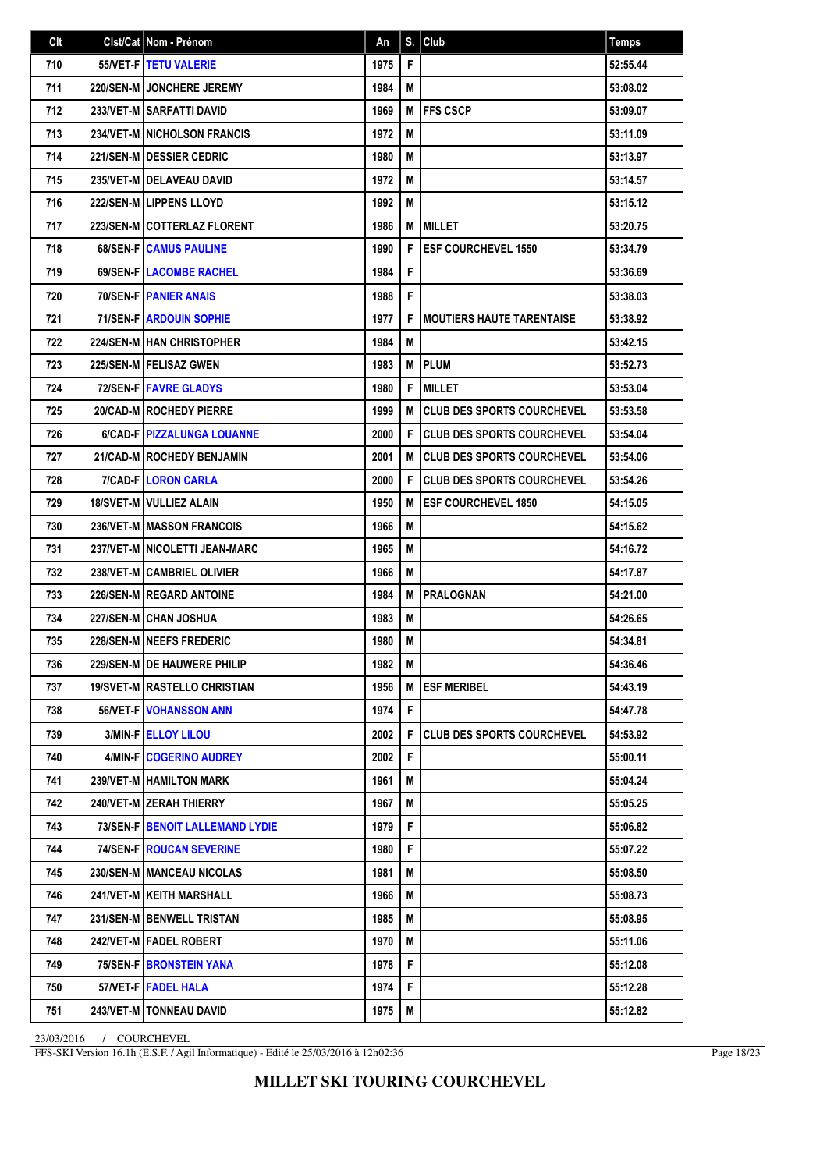| Clt | Clst/Cat Nom - Prénom                | An   | S. | Club                              | <b>Temps</b> |
|-----|--------------------------------------|------|----|-----------------------------------|--------------|
| 710 | 55/VET-FITETU VALERIE                | 1975 | F  |                                   | 52:55.44     |
| 711 | <b>220/SEN-MIJONCHERE JEREMY</b>     | 1984 | M  |                                   | 53:08.02     |
| 712 | 233/VET-M SARFATTI DAVID             | 1969 | М  | <b>IFFS CSCP</b>                  | 53:09.07     |
| 713 | 234/VET-M INICHOLSON FRANCIS         | 1972 | M  |                                   | 53:11.09     |
| 714 | <b>221/SEN-M   DESSIER CEDRIC</b>    | 1980 | М  |                                   | 53:13.97     |
| 715 | 235/VET-M   DELAVEAU DAVID           | 1972 | М  |                                   | 53:14.57     |
| 716 | <b>222/SEN-MILIPPENS LLOYD</b>       | 1992 | M  |                                   | 53:15.12     |
| 717 | 223/SEN-M COTTERLAZ FLORENT          | 1986 | M  | <b>MILLET</b>                     | 53:20.75     |
| 718 | 68/SEN-F CAMUS PAULINE               | 1990 | F  | <b>ESF COURCHEVEL 1550</b>        | 53:34.79     |
| 719 | <b>69/SEN-FILACOMBE RACHEL</b>       | 1984 | F  |                                   | 53:36.69     |
| 720 | <b>70/SEN-FIPANIER ANAIS</b>         | 1988 | F  |                                   | 53:38.03     |
| 721 | <b>71/SEN-FIARDOUIN SOPHIE</b>       | 1977 | F  | <b>MOUTIERS HAUTE TARENTAISE</b>  | 53:38.92     |
| 722 | <b>224/SEN-MIHAN CHRISTOPHER</b>     | 1984 | M  |                                   | 53:42.15     |
| 723 | <b>225/SEN-MIFELISAZ GWEN</b>        | 1983 | M  | <b>PLUM</b>                       | 53:52.73     |
| 724 | <b>72/SEN-FIFAVRE GLADYS</b>         | 1980 | F  | <b>MILLET</b>                     | 53:53.04     |
| 725 | 20/CAD-M   ROCHEDY PIERRE            | 1999 | M  | <b>CLUB DES SPORTS COURCHEVEL</b> | 53:53.58     |
| 726 | 6/CAD-F   PIZZALUNGA LOUANNE         | 2000 | F  | <b>CLUB DES SPORTS COURCHEVEL</b> | 53:54.04     |
| 727 | 21/CAD-M ROCHEDY BENJAMIN            | 2001 | M  | <b>CLUB DES SPORTS COURCHEVEL</b> | 53:54.06     |
| 728 | 7/CAD-F LORON CARLA                  | 2000 | F  | <b>CLUB DES SPORTS COURCHEVEL</b> | 53:54.26     |
| 729 | 18/SVET-M   VULLIEZ ALAIN            | 1950 | M  | <b>ESF COURCHEVEL 1850</b>        | 54:15.05     |
| 730 | <b>236/VET-M   MASSON FRANCOIS</b>   | 1966 | М  |                                   | 54:15.62     |
| 731 | 237/VET-M   NICOLETTI JEAN-MARC      | 1965 | М  |                                   | 54:16.72     |
| 732 | 238/VET-M CAMBRIEL OLIVIER           | 1966 | М  |                                   | 54:17.87     |
| 733 | 226/SEN-M REGARD ANTOINE             | 1984 | M  | <b>PRALOGNAN</b>                  | 54:21.00     |
| 734 | <b>227/SEN-MICHAN JOSHUA</b>         | 1983 | М  |                                   | 54:26.65     |
| 735 | 228/SEN-M NEEFS FREDERIC             | 1980 | М  |                                   | 54:34.81     |
| 736 | <b>229/SEN-M   DE HAUWERE PHILIP</b> | 1982 | M  |                                   | 54:36.46     |
| 737 | 19/SVET-M   RASTELLO CHRISTIAN       | 1956 | M  | <b>ESF MERIBEL</b>                | 54:43.19     |
| 738 | <b>56/VET-FIVOHANSSON ANN</b>        | 1974 | F  |                                   | 54:47.78     |
| 739 | 3/MIN-F   ELLOY LILOU                | 2002 | F  | <b>CLUB DES SPORTS COURCHEVEL</b> | 54:53.92     |
| 740 | 4/MIN-F   COGERINO AUDREY            | 2002 | F  |                                   | 55:00.11     |
| 741 | 239/VET-M   HAMILTON MARK            | 1961 | M  |                                   | 55:04.24     |
| 742 | 240/VET-M ZERAH THIERRY              | 1967 | M  |                                   | 55:05.25     |
| 743 | 73/SEN-F   BENOIT LALLEMAND LYDIE    | 1979 | F  |                                   | 55:06.82     |
| 744 | <b>74/SEN-F   ROUCAN SEVERINE</b>    | 1980 | F  |                                   | 55:07.22     |
| 745 | 230/SEN-M   MANCEAU NICOLAS          | 1981 | М  |                                   | 55:08.50     |
| 746 | 241/VET-M   KEITH MARSHALL           | 1966 | M  |                                   | 55:08.73     |
| 747 | 231/SEN-M   BENWELL TRISTAN          | 1985 | М  |                                   | 55:08.95     |
| 748 | 242/VET-M   FADEL ROBERT             | 1970 | M  |                                   | 55:11.06     |
| 749 | 75/SEN-F BRONSTEIN YANA              | 1978 | F  |                                   | 55:12.08     |
| 750 | 57/VET-F FADEL HALA                  | 1974 | F  |                                   | 55:12.28     |
| 751 | <b>243/VET-M   TONNEAU DAVID</b>     | 1975 | M  |                                   | 55:12.82     |

FFS-SKI Version 16.1h (E.S.F. / Agil Informatique) - Edité le 25/03/2016 à 12h02:36

Page 18/23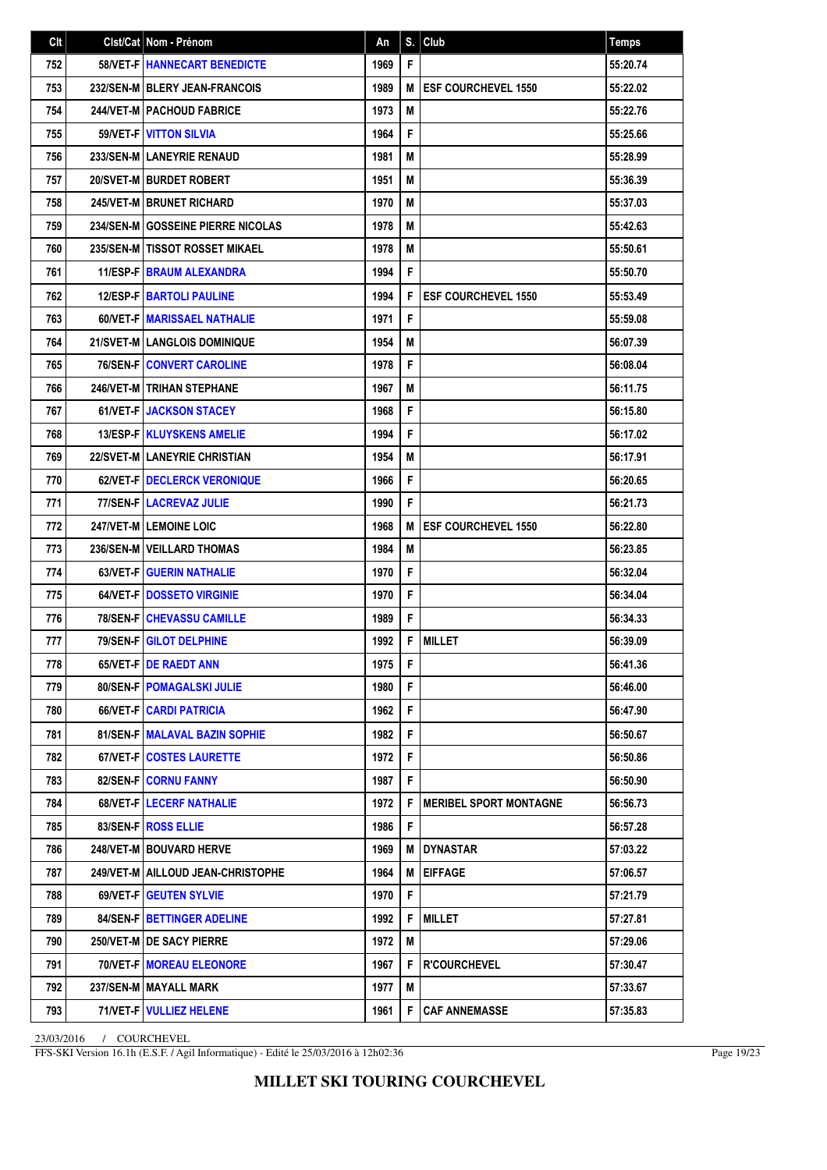| Clt | Cist/Cat   Nom - Prénom             | An   | S. | Club                          | <b>Temps</b> |
|-----|-------------------------------------|------|----|-------------------------------|--------------|
| 752 | 58/VET-F   HANNECART BENEDICTE      | 1969 | F  |                               | 55:20.74     |
| 753 | 232/SEN-M BLERY JEAN-FRANCOIS       | 1989 | M  | <b>ESF COURCHEVEL 1550</b>    | 55:22.02     |
| 754 | <b>244/VET-M   PACHOUD FABRICE</b>  | 1973 | M  |                               | 55:22.76     |
| 755 | 59/VET-F VITTON SILVIA              | 1964 | F  |                               | 55:25.66     |
| 756 | 233/SEN-M LANEYRIE RENAUD           | 1981 | М  |                               | 55:28.99     |
| 757 | 20/SVET-M BURDET ROBERT             | 1951 | M  |                               | 55:36.39     |
| 758 | <b>245/VET-M BRUNET RICHARD</b>     | 1970 | М  |                               | 55:37.03     |
| 759 | 234/SEN-M GOSSEINE PIERRE NICOLAS   | 1978 | M  |                               | 55:42.63     |
| 760 | 235/SEN-M   TISSOT ROSSET MIKAEL    | 1978 | М  |                               | 55:50.61     |
| 761 | <b>11/ESP-FIBRAUM ALEXANDRA</b>     | 1994 | F  |                               | 55:50.70     |
| 762 | <b>12/ESP-FIBARTOLI PAULINE</b>     | 1994 | F  | <b>ESF COURCHEVEL 1550</b>    | 55:53.49     |
| 763 | 60/VET-F   MARISSAEL NATHALIE       | 1971 | F  |                               | 55:59.08     |
| 764 | 21/SVET-M   LANGLOIS DOMINIQUE      | 1954 | М  |                               | 56:07.39     |
| 765 | <b>76/SEN-F CONVERT CAROLINE</b>    | 1978 | F  |                               | 56:08.04     |
| 766 | 246/VET-M   TRIHAN STEPHANE         | 1967 | М  |                               | 56:11.75     |
| 767 | 61/VET-F   JACKSON STACEY           | 1968 | F  |                               | 56:15.80     |
| 768 | 13/ESP-F   KLUYSKENS AMELIE         | 1994 | F  |                               | 56:17.02     |
| 769 | 22/SVET-M LANEYRIE CHRISTIAN        | 1954 | М  |                               | 56:17.91     |
| 770 | 62/VET-F   DECLERCK VERONIQUE       | 1966 | F  |                               | 56:20.65     |
| 771 | <b>77/SEN-FILACREVAZ JULIE</b>      | 1990 | F  |                               | 56:21.73     |
| 772 | <b>247/VET-MILEMOINE LOIC</b>       | 1968 | M  | <b>ESF COURCHEVEL 1550</b>    | 56:22.80     |
| 773 | 236/SEN-M   VEILLARD THOMAS         | 1984 | М  |                               | 56:23.85     |
| 774 | <b>63/VET-FIGUERIN NATHALIE</b>     | 1970 | F  |                               | 56:32.04     |
| 775 | <b>64/VET-F IDOSSETO VIRGINIE</b>   | 1970 | F  |                               | 56:34.04     |
| 776 | <b>78/SEN-FICHEVASSU CAMILLE</b>    | 1989 | F  |                               | 56:34.33     |
| 777 | 79/SEN-F GILOT DELPHINE             | 1992 | F  | <b>MILLET</b>                 | 56:39.09     |
| 778 | 65/VET-FIDE RAEDT ANN               | 1975 | F  |                               | 56:41.36     |
| 779 | 80/SEN-F   POMAGALSKI JULIE         | 1980 | F. |                               | 56:46.00     |
| 780 | <b>66/VET-FICARDI PATRICIA</b>      | 1962 | F  |                               | 56:47.90     |
| 781 | 81/SEN-F   MALAVAL BAZIN SOPHIE     | 1982 | F  |                               | 56:50.67     |
| 782 | 67/VET-F   COSTES LAURETTE          | 1972 | F  |                               | 56:50.86     |
| 783 | 82/SEN-F CORNU FANNY                | 1987 | F  |                               | 56:50.90     |
| 784 | <b>68/VET-FILECERF NATHALIE</b>     | 1972 | F  | <b>MERIBEL SPORT MONTAGNE</b> | 56:56.73     |
| 785 | 83/SEN-F ROSS ELLIE                 | 1986 | F  |                               | 56:57.28     |
| 786 | 248/VET-M BOUVARD HERVE             | 1969 | м  | IDYNASTAR                     | 57:03.22     |
| 787 | 249/VET-M   AILLOUD JEAN-CHRISTOPHE | 1964 | M  | <b>EIFFAGE</b>                | 57:06.57     |
| 788 | <b>69/VET-FIGEUTEN SYLVIE</b>       | 1970 | F. |                               | 57:21.79     |
| 789 | 84/SEN-FIBETTINGER ADELINE          | 1992 | F  | <b>MILLET</b>                 | 57:27.81     |
| 790 | 250/VET-M DE SACY PIERRE            | 1972 | M  |                               | 57:29.06     |
| 791 | <b>70/VET-F   MOREAU ELEONORE</b>   | 1967 | F  | <b>R'COURCHEVEL</b>           | 57:30.47     |
| 792 | 237/SEN-M   MAYALL MARK             | 1977 | M  |                               | 57:33.67     |
| 793 | 71/VET-F   VULLIEZ HELENE           | 1961 | F  | <b>CAF ANNEMASSE</b>          | 57:35.83     |

FFS-SKI Version 16.1h (E.S.F. / Agil Informatique) - Edité le 25/03/2016 à 12h02:36

Page 19/23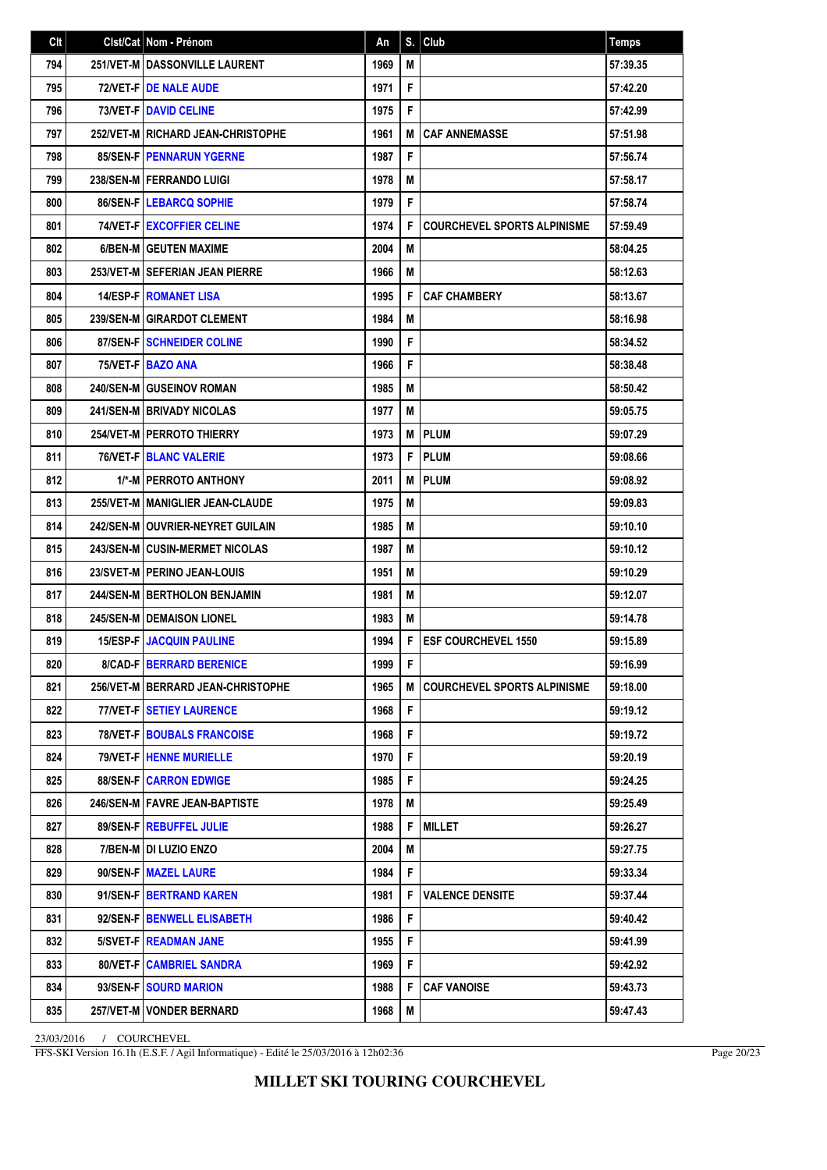| Clt | Clst/Cat Nom - Prénom                  | An   | S. | Club                               | <b>Temps</b> |
|-----|----------------------------------------|------|----|------------------------------------|--------------|
| 794 | <b>251/VET-M   DASSONVILLE LAURENT</b> | 1969 | М  |                                    | 57:39.35     |
| 795 | <b>72/VET-FIDE NALE AUDE</b>           | 1971 | F  |                                    | 57:42.20     |
| 796 | <b>73/VET-FIDAVID CELINE</b>           | 1975 | F  |                                    | 57:42.99     |
| 797 | 252/VET-M RICHARD JEAN-CHRISTOPHE      | 1961 | M  | <b>CAF ANNEMASSE</b>               | 57:51.98     |
| 798 | <b>85/SEN-FIPENNARUN YGERNE</b>        | 1987 | F  |                                    | 57:56.74     |
| 799 | 238/SEN-M   FERRANDO LUIGI             | 1978 | M  |                                    | 57:58.17     |
| 800 | 86/SEN-F   LEBARCQ SOPHIE              | 1979 | F  |                                    | 57:58.74     |
| 801 | 74/VET-F   EXCOFFIER CELINE            | 1974 | F  | <b>COURCHEVEL SPORTS ALPINISME</b> | 57:59.49     |
| 802 | 6/BEN-M GEUTEN MAXIME                  | 2004 | М  |                                    | 58:04.25     |
| 803 | 253/VET-M SEFERIAN JEAN PIERRE         | 1966 | М  |                                    | 58:12.63     |
| 804 | <b>14/ESP-FIROMANET LISA</b>           | 1995 | F  | <b>CAF CHAMBERY</b>                | 58:13.67     |
| 805 | <b>239/SEN-M GIRARDOT CLEMENT</b>      | 1984 | М  |                                    | 58:16.98     |
| 806 | 87/SEN-FISCHNEIDER COLINE              | 1990 | F  |                                    | 58:34.52     |
| 807 | 75/VET-F BAZO ANA                      | 1966 | F  |                                    | 58:38.48     |
| 808 | <b>240/SEN-M GUSEINOV ROMAN</b>        | 1985 | M  |                                    | 58:50.42     |
| 809 | <b>241/SEN-M BRIVADY NICOLAS</b>       | 1977 | М  |                                    | 59:05.75     |
| 810 | <b>254/VET-M   PERROTO THIERRY</b>     | 1973 | M  | <b>PLUM</b>                        | 59:07.29     |
| 811 | <b>76/VET-FIBLANC VALERIE</b>          | 1973 | F  | <b>PLUM</b>                        | 59:08.66     |
| 812 | 1/*-MIPERROTO ANTHONY                  | 2011 | M  | <b>PLUM</b>                        | 59:08.92     |
| 813 | 255/VET-M   MANIGLIER JEAN-CLAUDE      | 1975 | М  |                                    | 59:09.83     |
| 814 | 242/SEN-M   OUVRIER-NEYRET GUILAIN     | 1985 | M  |                                    | 59:10.10     |
| 815 | <b>243/SEN-M CUSIN-MERMET NICOLAS</b>  | 1987 | М  |                                    | 59:10.12     |
| 816 | <b>23/SVET-MIPERINO JEAN-LOUIS</b>     | 1951 | М  |                                    | 59:10.29     |
| 817 | <b>244/SEN-M   BERTHOLON BENJAMIN</b>  | 1981 | M  |                                    | 59:12.07     |
| 818 | <b>245/SEN-M   DEMAISON LIONEL</b>     | 1983 | М  |                                    | 59:14.78     |
| 819 | <b>15/ESP-F JACQUIN PAULINE</b>        | 1994 | F  | <b>ESF COURCHEVEL 1550</b>         | 59:15.89     |
| 820 | <b>8/CAD-F   BERRARD BERENICE</b>      | 1999 | F. |                                    | 59:16.99     |
| 821 | 256/VET-M   BERRARD JEAN-CHRISTOPHE    | 1965 | M  | <b>COURCHEVEL SPORTS ALPINISME</b> | 59:18.00     |
| 822 | 77/VET-F   SETIEY LAURENCE             | 1968 | F  |                                    | 59:19.12     |
| 823 | <b>78/VET-FIBOUBALS FRANCOISE</b>      | 1968 | F  |                                    | 59:19.72     |
| 824 | 79/VET-F   HENNE MURIELLE              | 1970 | F  |                                    | 59:20.19     |
| 825 | <b>88/SEN-FICARRON EDWIGE</b>          | 1985 | F  |                                    | 59:24.25     |
| 826 | 246/SEN-M   FAVRE JEAN-BAPTISTE        | 1978 | M  |                                    | 59:25.49     |
| 827 | 89/SEN-F REBUFFEL JULIE                | 1988 | F  | <b>MILLET</b>                      | 59:26.27     |
| 828 | 7/BEN-M DI LUZIO ENZO                  | 2004 | M  |                                    | 59:27.75     |
| 829 | 90/SEN-F MAZEL LAURE                   | 1984 | F  |                                    | 59:33.34     |
| 830 | 91/SEN-F   BERTRAND KAREN              | 1981 | F  | <b>VALENCE DENSITE</b>             | 59:37.44     |
| 831 | 92/SEN-F   BENWELL ELISABETH           | 1986 | F  |                                    | 59:40.42     |
| 832 | 5/SVET-F READMAN JANE                  | 1955 | F  |                                    | 59:41.99     |
| 833 | 80/VET-F CAMBRIEL SANDRA               | 1969 | F  |                                    | 59:42.92     |
| 834 | 93/SEN-F SOURD MARION                  | 1988 | F  | <b>CAF VANOISE</b>                 | 59:43.73     |
| 835 | 257/VET-M   VONDER BERNARD             | 1968 | M  |                                    | 59:47.43     |

FFS-SKI Version 16.1h (E.S.F. / Agil Informatique) - Edité le 25/03/2016 à 12h02:36

Page 20/23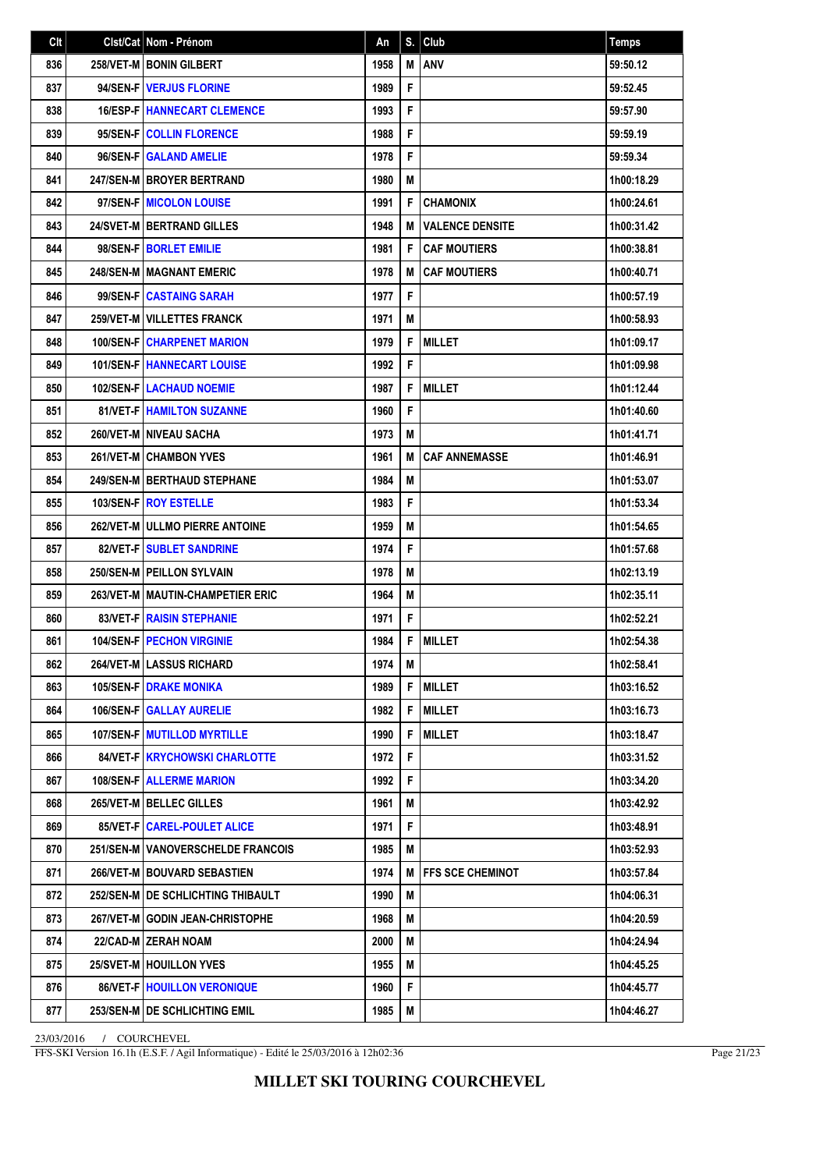| Clt | Cist/Cat   Nom - Prénom                | An   | S. | Club                    | <b>Temps</b> |
|-----|----------------------------------------|------|----|-------------------------|--------------|
| 836 | <b>258/VET-M   BONIN GILBERT</b>       | 1958 | M  | ANV                     | 59:50.12     |
| 837 | 94/SEN-F   VERJUS FLORINE              | 1989 | F  |                         | 59:52.45     |
| 838 | <b>16/ESP-FIHANNECART CLEMENCE</b>     | 1993 | F  |                         | 59:57.90     |
| 839 | 95/SEN-FICOLLIN FLORENCE               | 1988 | F  |                         | 59:59.19     |
| 840 | 96/SEN-F GALAND AMELIE                 | 1978 | F  |                         | 59:59.34     |
| 841 | <b>247/SEN-MIBROYER BERTRAND</b>       | 1980 | M  |                         | 1h00:18.29   |
| 842 | 97/SEN-F MICOLON LOUISE                | 1991 | F  | <b>CHAMONIX</b>         | 1h00:24.61   |
| 843 | <b>24/SVET-M   BERTRAND GILLES</b>     | 1948 | M  | <b>VALENCE DENSITE</b>  | 1h00:31.42   |
| 844 | 98/SEN-F   BORLET EMILIE               | 1981 | F  | <b>CAF MOUTIERS</b>     | 1h00:38.81   |
| 845 | <b>248/SEN-M   MAGNANT EMERIC</b>      | 1978 | M  | <b>CAF MOUTIERS</b>     | 1h00:40.71   |
| 846 | 99/SEN-FICASTAING SARAH                | 1977 | F  |                         | 1h00:57.19   |
| 847 | <b>259/VET-M   VILLETTES FRANCK</b>    | 1971 | М  |                         | 1h00:58.93   |
| 848 | <b>100/SEN-FICHARPENET MARION</b>      | 1979 | F  | <b>MILLET</b>           | 1h01:09.17   |
| 849 | <b>101/SEN-FIHANNECART LOUISE</b>      | 1992 | F  |                         | 1h01:09.98   |
| 850 | <b>102/SEN-FILACHAUD NOEMIE</b>        | 1987 | F  | <b>MILLET</b>           | 1h01:12.44   |
| 851 | <b>81/VET-FIHAMILTON SUZANNE</b>       | 1960 | F  |                         | 1h01:40.60   |
| 852 | 260/VET-M NIVEAU SACHA                 | 1973 | M  |                         | 1h01:41.71   |
| 853 | <b>261/VET-MICHAMBON YVES</b>          | 1961 | M  | <b>CAF ANNEMASSE</b>    | 1h01:46.91   |
| 854 | <b>249/SEN-MIBERTHAUD STEPHANE</b>     | 1984 | M  |                         | 1h01:53.07   |
| 855 | <b>103/SEN-FIROY ESTELLE</b>           | 1983 | F  |                         | 1h01:53.34   |
| 856 | <b>262/VET-M JULLMO PIERRE ANTOINE</b> | 1959 | M  |                         | 1h01:54.65   |
| 857 | 82/VET-F   SUBLET SANDRINE             | 1974 | F  |                         | 1h01:57.68   |
| 858 | 250/SEN-M PEILLON SYLVAIN              | 1978 | M  |                         | 1h02:13.19   |
| 859 | 263/VET-M   MAUTIN-CHAMPETIER ERIC     | 1964 | M  |                         | 1h02:35.11   |
| 860 | <b>83/VET-F RAISIN STEPHANIE</b>       | 1971 | F  |                         | 1h02:52.21   |
| 861 | <b>104/SEN-F   PECHON VIRGINIE</b>     | 1984 | F  | <b>MILLET</b>           | 1h02:54.38   |
| 862 | 264/VET-M LASSUS RICHARD               | 1974 | М  |                         | 1h02:58.41   |
| 863 | <b>105/SEN-F DRAKE MONIKA</b>          | 1989 | F  | <b>MILLET</b>           | 1h03:16.52   |
| 864 | <b>106/SEN-F GALLAY AURELIE</b>        | 1982 | F  | <b>MILLET</b>           | 1h03:16.73   |
| 865 | <b>107/SEN-FIMUTILLOD MYRTILLE</b>     | 1990 | F  | <b>MILLET</b>           | 1h03:18.47   |
| 866 | 84/VET-F   KRYCHOWSKI CHARLOTTE        | 1972 | F  |                         | 1h03:31.52   |
| 867 | <b>108/SEN-F ALLERME MARION</b>        | 1992 | F  |                         | 1h03:34.20   |
| 868 | 265/VET-M   BELLEC GILLES              | 1961 | M  |                         | 1h03:42.92   |
| 869 | 85/VET-F   CAREL-POULET ALICE          | 1971 | F  |                         | 1h03:48.91   |
| 870 | 251/SEN-M   VANOVERSCHELDE FRANCOIS    | 1985 | M  |                         | 1h03:52.93   |
| 871 | 266/VET-M   BOUVARD SEBASTIEN          | 1974 | M  | <b>FFS SCE CHEMINOT</b> | 1h03:57.84   |
| 872 | 252/SEN-M   DE SCHLICHTING THIBAULT    | 1990 | M  |                         | 1h04:06.31   |
| 873 | 267/VET-M GODIN JEAN-CHRISTOPHE        | 1968 | М  |                         | 1h04:20.59   |
| 874 | 22/CAD-M ZERAH NOAM                    | 2000 | М  |                         | 1h04:24.94   |
| 875 | 25/SVET-M   HOUILLON YVES              | 1955 | М  |                         | 1h04:45.25   |
| 876 | 86/VET-F   HOUILLON VERONIQUE          | 1960 | F  |                         | 1h04:45.77   |
| 877 | 253/SEN-M   DE SCHLICHTING EMIL        | 1985 | M  |                         | 1h04:46.27   |

FFS-SKI Version 16.1h (E.S.F. / Agil Informatique) - Edité le 25/03/2016 à 12h02:36

Page 21/23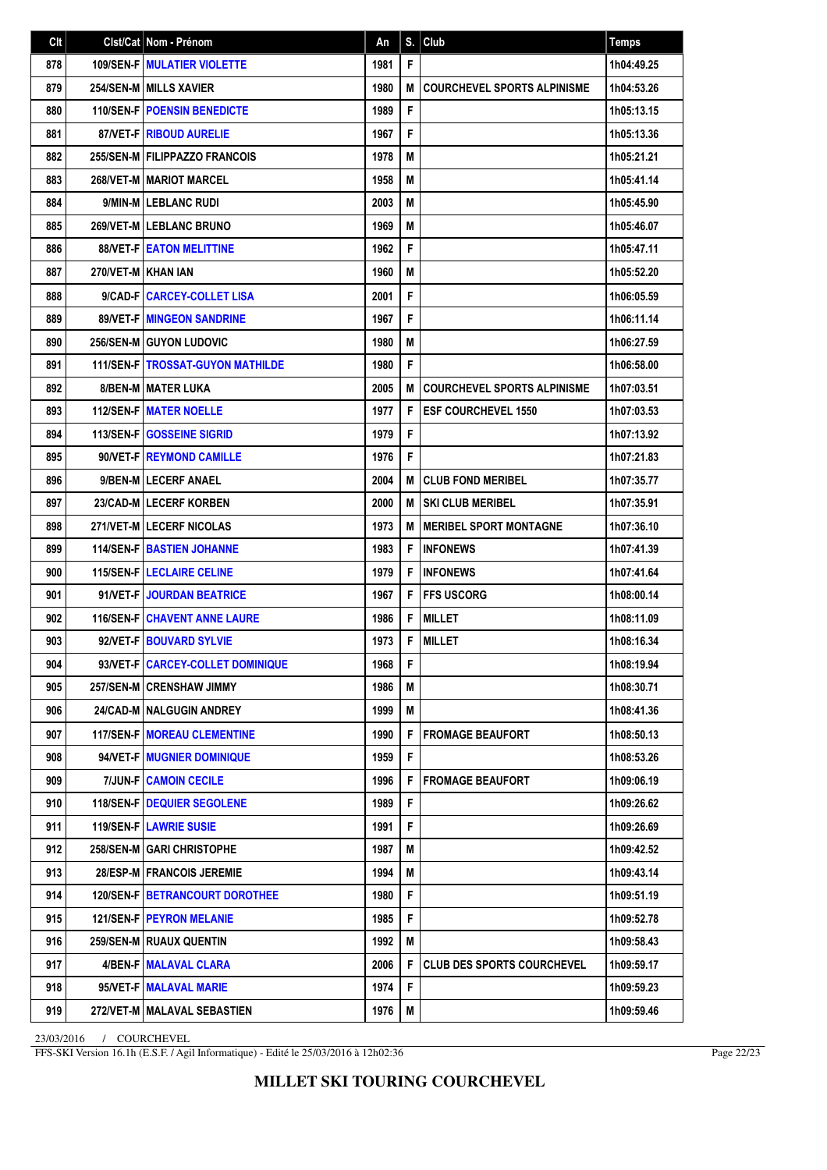| Clt |                    | Cist/Cat   Nom - Prénom                 | An   | S. | Club                               | <b>Temps</b> |
|-----|--------------------|-----------------------------------------|------|----|------------------------------------|--------------|
| 878 |                    | 109/SEN-F   MULATIER VIOLETTE           | 1981 | F  |                                    | 1h04:49.25   |
| 879 |                    | <b>254/SEN-M   MILLS XAVIER</b>         | 1980 | M  | <b>COURCHEVEL SPORTS ALPINISME</b> | 1h04:53.26   |
| 880 |                    | <b>110/SEN-FIPOENSIN BENEDICTE</b>      | 1989 | F  |                                    | 1h05:13.15   |
| 881 |                    | <b>87/VET-FIRIBOUD AURELIE</b>          | 1967 | F  |                                    | 1h05:13.36   |
| 882 |                    | 255/SEN-M FILIPPAZZO FRANCOIS           | 1978 | M  |                                    | 1h05:21.21   |
| 883 |                    | <b>268/VET-M MARIOT MARCEL</b>          | 1958 | M  |                                    | 1h05:41.14   |
| 884 |                    | 9/MIN-M LEBLANC RUDI                    | 2003 | M  |                                    | 1h05:45.90   |
| 885 |                    | 269/VET-M LEBLANC BRUNO                 | 1969 | M  |                                    | 1h05:46.07   |
| 886 |                    | <b>88/VET-FIEATON MELITTINE</b>         | 1962 | F  |                                    | 1h05:47.11   |
| 887 | 270/VET-M KHAN JAN |                                         | 1960 | M  |                                    | 1h05:52.20   |
| 888 |                    | 9/CAD-FICARCEY-COLLET LISA              | 2001 | F  |                                    | 1h06:05.59   |
| 889 |                    | <b>89/VET-FIMINGEON SANDRINE</b>        | 1967 | F  |                                    | 1h06:11.14   |
| 890 |                    | <b>256/SEN-MIGUYON LUDOVIC</b>          | 1980 | M  |                                    | 1h06:27.59   |
| 891 |                    | <b>111/SEN-F TROSSAT-GUYON MATHILDE</b> | 1980 | F  |                                    | 1h06:58.00   |
| 892 |                    | <b>8/BEN-M MATER LUKA</b>               | 2005 | M  | <b>COURCHEVEL SPORTS ALPINISME</b> | 1h07:03.51   |
| 893 |                    | <b>112/SEN-FIMATER NOELLE</b>           | 1977 | F  | <b>ESF COURCHEVEL 1550</b>         | 1h07:03.53   |
| 894 |                    | 113/SEN-F GOSSEINE SIGRID               | 1979 | F  |                                    | 1h07:13.92   |
| 895 |                    | 90/VET-FIREYMOND CAMILLE                | 1976 | F  |                                    | 1h07:21.83   |
| 896 |                    | 9/BEN-M LECERF ANAEL                    | 2004 | M  | <b>CLUB FOND MERIBEL</b>           | 1h07:35.77   |
| 897 |                    | 23/CAD-MILECERF KORBEN                  | 2000 | M  | <b>SKI CLUB MERIBEL</b>            | 1h07:35.91   |
| 898 |                    | 271/VET-MILECERF NICOLAS                | 1973 | M  | <b>MERIBEL SPORT MONTAGNE</b>      | 1h07:36.10   |
| 899 |                    | <b>114/SEN-F BASTIEN JOHANNE</b>        | 1983 | F  | <b>INFONEWS</b>                    | 1h07:41.39   |
| 900 |                    | <b>115/SEN-FILECLAIRE CELINE</b>        | 1979 | F  | <b>INFONEWS</b>                    | 1h07:41.64   |
| 901 |                    | 91/VET-F JOURDAN BEATRICE               | 1967 | F  | <b>FFS USCORG</b>                  | 1h08:00.14   |
| 902 |                    | <b>116/SEN-F CHAVENT ANNE LAURE</b>     | 1986 | F  | <b>MILLET</b>                      | 1h08:11.09   |
| 903 |                    | 92/VET-F   BOUVARD SYLVIE               | 1973 | F  | <b>MILLET</b>                      | 1h08:16.34   |
| 904 |                    | 93/VET-F   CARCEY-COLLET DOMINIQUE      | 1968 | F  |                                    | 1h08:19.94   |
| 905 |                    | 257/SEN-M CRENSHAW JIMMY                | 1986 | М  |                                    | 1h08:30.71   |
| 906 |                    | 24/CAD-M NALGUGIN ANDREY                | 1999 | M  |                                    | 1h08:41.36   |
| 907 |                    | <b>117/SEN-FIMOREAU CLEMENTINE</b>      | 1990 | F  | <b>FROMAGE BEAUFORT</b>            | 1h08:50.13   |
| 908 |                    | 94/VET-F MUGNIER DOMINIQUE              | 1959 | F  |                                    | 1h08:53.26   |
| 909 |                    | <b>7/JUN-FICAMOIN CECILE</b>            | 1996 | F  | <b>FROMAGE BEAUFORT</b>            | 1h09:06.19   |
| 910 |                    | <b>118/SEN-FIDEQUIER SEGOLENE</b>       | 1989 | F  |                                    | 1h09:26.62   |
| 911 |                    | <b>119/SEN-FILAWRIE SUSIE</b>           | 1991 | F  |                                    | 1h09:26.69   |
| 912 |                    | 258/SEN-M GARI CHRISTOPHE               | 1987 | M  |                                    | 1h09:42.52   |
| 913 |                    | 28/ESP-M   FRANCOIS JEREMIE             | 1994 | M  |                                    | 1h09:43.14   |
| 914 |                    | <b>120/SEN-F   BETRANCOURT DOROTHEE</b> | 1980 | F  |                                    | 1h09:51.19   |
| 915 |                    | <b>121/SEN-F   PEYRON MELANIE</b>       | 1985 | F  |                                    | 1h09:52.78   |
| 916 |                    | 259/SEN-M   RUAUX QUENTIN               | 1992 | M  |                                    | 1h09:58.43   |
| 917 |                    | 4/BEN-F   MALAVAL CLARA                 | 2006 | F  | <b>CLUB DES SPORTS COURCHEVEL</b>  | 1h09:59.17   |
| 918 |                    | 95/VET-F   MALAVAL MARIE                | 1974 | F  |                                    | 1h09:59.23   |
| 919 |                    | 272/VET-M   MALAVAL SEBASTIEN           | 1976 | M  |                                    | 1h09:59.46   |

FFS-SKI Version 16.1h (E.S.F. / Agil Informatique) - Edité le 25/03/2016 à 12h02:36

Page 22/23